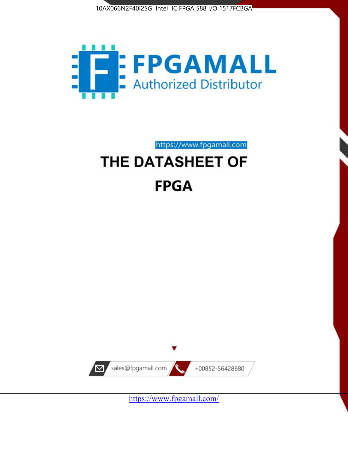



https://www.fpgamall.com

# THE DATASHEET OF **FPGA**



<https://www.fpgamall.com/>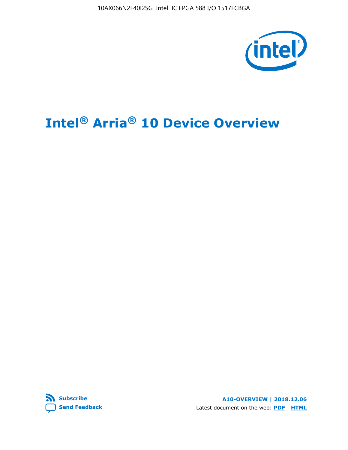10AX066N2F40I2SG Intel IC FPGA 588 I/O 1517FCBGA



# **Intel® Arria® 10 Device Overview**



**A10-OVERVIEW | 2018.12.06** Latest document on the web: **[PDF](https://www.intel.com/content/dam/www/programmable/us/en/pdfs/literature/hb/arria-10/a10_overview.pdf)** | **[HTML](https://www.intel.com/content/www/us/en/programmable/documentation/sam1403480274650.html)**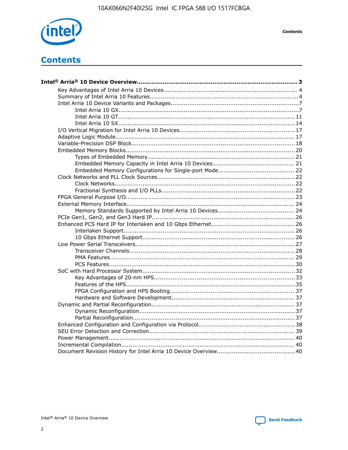

**Contents** 

# **Contents**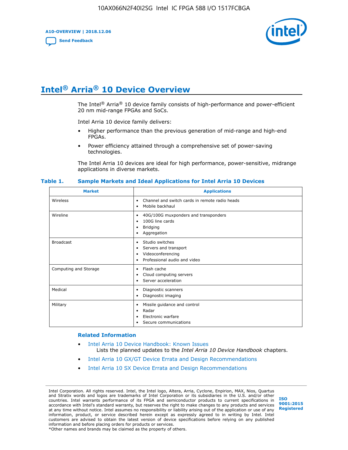**A10-OVERVIEW | 2018.12.06**

**[Send Feedback](mailto:FPGAtechdocfeedback@intel.com?subject=Feedback%20on%20Intel%20Arria%2010%20Device%20Overview%20(A10-OVERVIEW%202018.12.06)&body=We%20appreciate%20your%20feedback.%20In%20your%20comments,%20also%20specify%20the%20page%20number%20or%20paragraph.%20Thank%20you.)**



# **Intel® Arria® 10 Device Overview**

The Intel<sup>®</sup> Arria<sup>®</sup> 10 device family consists of high-performance and power-efficient 20 nm mid-range FPGAs and SoCs.

Intel Arria 10 device family delivers:

- Higher performance than the previous generation of mid-range and high-end FPGAs.
- Power efficiency attained through a comprehensive set of power-saving technologies.

The Intel Arria 10 devices are ideal for high performance, power-sensitive, midrange applications in diverse markets.

| <b>Market</b>         | <b>Applications</b>                                                                                               |
|-----------------------|-------------------------------------------------------------------------------------------------------------------|
| Wireless              | Channel and switch cards in remote radio heads<br>٠<br>Mobile backhaul<br>٠                                       |
| Wireline              | 40G/100G muxponders and transponders<br>٠<br>100G line cards<br>٠<br><b>Bridging</b><br>٠<br>Aggregation<br>٠     |
| <b>Broadcast</b>      | Studio switches<br>٠<br>Servers and transport<br>٠<br>Videoconferencing<br>٠<br>Professional audio and video<br>٠ |
| Computing and Storage | Flash cache<br>٠<br>Cloud computing servers<br>٠<br>Server acceleration<br>٠                                      |
| Medical               | Diagnostic scanners<br>٠<br>Diagnostic imaging<br>٠                                                               |
| Military              | Missile guidance and control<br>٠<br>Radar<br>٠<br>Electronic warfare<br>٠<br>Secure communications<br>٠          |

#### **Table 1. Sample Markets and Ideal Applications for Intel Arria 10 Devices**

#### **Related Information**

- [Intel Arria 10 Device Handbook: Known Issues](http://www.altera.com/support/kdb/solutions/rd07302013_646.html) Lists the planned updates to the *Intel Arria 10 Device Handbook* chapters.
- [Intel Arria 10 GX/GT Device Errata and Design Recommendations](https://www.intel.com/content/www/us/en/programmable/documentation/agz1493851706374.html#yqz1494433888646)
- [Intel Arria 10 SX Device Errata and Design Recommendations](https://www.intel.com/content/www/us/en/programmable/documentation/cru1462832385668.html#cru1462832558642)

Intel Corporation. All rights reserved. Intel, the Intel logo, Altera, Arria, Cyclone, Enpirion, MAX, Nios, Quartus and Stratix words and logos are trademarks of Intel Corporation or its subsidiaries in the U.S. and/or other countries. Intel warrants performance of its FPGA and semiconductor products to current specifications in accordance with Intel's standard warranty, but reserves the right to make changes to any products and services at any time without notice. Intel assumes no responsibility or liability arising out of the application or use of any information, product, or service described herein except as expressly agreed to in writing by Intel. Intel customers are advised to obtain the latest version of device specifications before relying on any published information and before placing orders for products or services. \*Other names and brands may be claimed as the property of others.

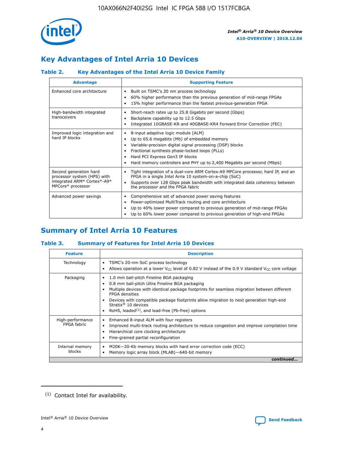

# **Key Advantages of Intel Arria 10 Devices**

# **Table 2. Key Advantages of the Intel Arria 10 Device Family**

| <b>Advantage</b>                                                                                          | <b>Supporting Feature</b>                                                                                                                                                                                                                                                                                                |
|-----------------------------------------------------------------------------------------------------------|--------------------------------------------------------------------------------------------------------------------------------------------------------------------------------------------------------------------------------------------------------------------------------------------------------------------------|
| Enhanced core architecture                                                                                | Built on TSMC's 20 nm process technology<br>٠<br>60% higher performance than the previous generation of mid-range FPGAs<br>٠<br>15% higher performance than the fastest previous-generation FPGA<br>٠                                                                                                                    |
| High-bandwidth integrated<br>transceivers                                                                 | Short-reach rates up to 25.8 Gigabits per second (Gbps)<br>٠<br>Backplane capability up to 12.5 Gbps<br>٠<br>Integrated 10GBASE-KR and 40GBASE-KR4 Forward Error Correction (FEC)<br>٠                                                                                                                                   |
| Improved logic integration and<br>hard IP blocks                                                          | 8-input adaptive logic module (ALM)<br>٠<br>Up to 65.6 megabits (Mb) of embedded memory<br>٠<br>Variable-precision digital signal processing (DSP) blocks<br>Fractional synthesis phase-locked loops (PLLs)<br>Hard PCI Express Gen3 IP blocks<br>Hard memory controllers and PHY up to 2,400 Megabits per second (Mbps) |
| Second generation hard<br>processor system (HPS) with<br>integrated ARM* Cortex*-A9*<br>MPCore* processor | Tight integration of a dual-core ARM Cortex-A9 MPCore processor, hard IP, and an<br>٠<br>FPGA in a single Intel Arria 10 system-on-a-chip (SoC)<br>Supports over 128 Gbps peak bandwidth with integrated data coherency between<br>$\bullet$<br>the processor and the FPGA fabric                                        |
| Advanced power savings                                                                                    | Comprehensive set of advanced power saving features<br>٠<br>Power-optimized MultiTrack routing and core architecture<br>٠<br>Up to 40% lower power compared to previous generation of mid-range FPGAs<br>٠<br>Up to 60% lower power compared to previous generation of high-end FPGAs<br>٠                               |

# **Summary of Intel Arria 10 Features**

## **Table 3. Summary of Features for Intel Arria 10 Devices**

| <b>Feature</b>                  | <b>Description</b>                                                                                                                                                                                                                                                                                                                                                                                       |
|---------------------------------|----------------------------------------------------------------------------------------------------------------------------------------------------------------------------------------------------------------------------------------------------------------------------------------------------------------------------------------------------------------------------------------------------------|
| Technology                      | TSMC's 20-nm SoC process technology<br>٠<br>Allows operation at a lower $V_{\text{CC}}$ level of 0.82 V instead of the 0.9 V standard $V_{\text{CC}}$ core voltage                                                                                                                                                                                                                                       |
| Packaging                       | 1.0 mm ball-pitch Fineline BGA packaging<br>0.8 mm ball-pitch Ultra Fineline BGA packaging<br>Multiple devices with identical package footprints for seamless migration between different<br><b>FPGA</b> densities<br>Devices with compatible package footprints allow migration to next generation high-end<br>Stratix $\mathcal{R}$ 10 devices<br>RoHS, leaded $(1)$ , and lead-free (Pb-free) options |
| High-performance<br>FPGA fabric | Enhanced 8-input ALM with four registers<br>٠<br>Improved multi-track routing architecture to reduce congestion and improve compilation time<br>Hierarchical core clocking architecture<br>Fine-grained partial reconfiguration                                                                                                                                                                          |
| Internal memory<br>blocks       | M20K-20-Kb memory blocks with hard error correction code (ECC)<br>Memory logic array block (MLAB)-640-bit memory                                                                                                                                                                                                                                                                                         |
|                                 | continued                                                                                                                                                                                                                                                                                                                                                                                                |



<sup>(1)</sup> Contact Intel for availability.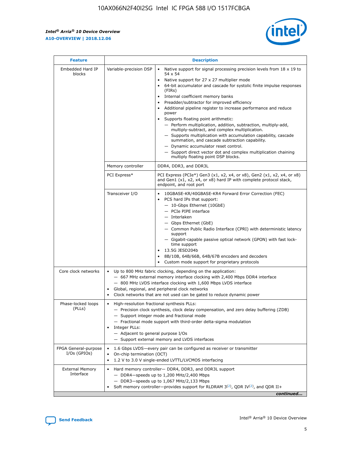r



| <b>Feature</b>                         |                                                                                                                | <b>Description</b>                                                                                                                                                                                                                                                                                                                                                                                                                                                                                                                                                                                                                                                                                                                                                                                                                                               |  |  |  |  |  |  |
|----------------------------------------|----------------------------------------------------------------------------------------------------------------|------------------------------------------------------------------------------------------------------------------------------------------------------------------------------------------------------------------------------------------------------------------------------------------------------------------------------------------------------------------------------------------------------------------------------------------------------------------------------------------------------------------------------------------------------------------------------------------------------------------------------------------------------------------------------------------------------------------------------------------------------------------------------------------------------------------------------------------------------------------|--|--|--|--|--|--|
| Embedded Hard IP<br>blocks             | Variable-precision DSP                                                                                         | Native support for signal processing precision levels from $18 \times 19$ to<br>$\bullet$<br>54 x 54<br>Native support for 27 x 27 multiplier mode<br>$\bullet$<br>64-bit accumulator and cascade for systolic finite impulse responses<br>(FIRs)<br>Internal coefficient memory banks<br>$\bullet$<br>Preadder/subtractor for improved efficiency<br>Additional pipeline register to increase performance and reduce<br>power<br>Supports floating point arithmetic:<br>- Perform multiplication, addition, subtraction, multiply-add,<br>multiply-subtract, and complex multiplication.<br>- Supports multiplication with accumulation capability, cascade<br>summation, and cascade subtraction capability.<br>- Dynamic accumulator reset control.<br>- Support direct vector dot and complex multiplication chaining<br>multiply floating point DSP blocks. |  |  |  |  |  |  |
|                                        | Memory controller                                                                                              | DDR4, DDR3, and DDR3L                                                                                                                                                                                                                                                                                                                                                                                                                                                                                                                                                                                                                                                                                                                                                                                                                                            |  |  |  |  |  |  |
|                                        | PCI Express*                                                                                                   | PCI Express (PCIe*) Gen3 (x1, x2, x4, or x8), Gen2 (x1, x2, x4, or x8)<br>and Gen1 (x1, x2, x4, or x8) hard IP with complete protocol stack,<br>endpoint, and root port                                                                                                                                                                                                                                                                                                                                                                                                                                                                                                                                                                                                                                                                                          |  |  |  |  |  |  |
|                                        | Transceiver I/O                                                                                                | 10GBASE-KR/40GBASE-KR4 Forward Error Correction (FEC)<br>PCS hard IPs that support:<br>- 10-Gbps Ethernet (10GbE)<br>- PCIe PIPE interface<br>- Interlaken<br>- Gbps Ethernet (GbE)<br>- Common Public Radio Interface (CPRI) with deterministic latency<br>support<br>- Gigabit-capable passive optical network (GPON) with fast lock-<br>time support<br>13.5G JESD204b<br>$\bullet$<br>8B/10B, 64B/66B, 64B/67B encoders and decoders<br>Custom mode support for proprietary protocols                                                                                                                                                                                                                                                                                                                                                                        |  |  |  |  |  |  |
| Core clock networks                    | $\bullet$                                                                                                      | Up to 800 MHz fabric clocking, depending on the application:<br>- 667 MHz external memory interface clocking with 2,400 Mbps DDR4 interface<br>- 800 MHz LVDS interface clocking with 1,600 Mbps LVDS interface<br>Global, regional, and peripheral clock networks<br>Clock networks that are not used can be gated to reduce dynamic power                                                                                                                                                                                                                                                                                                                                                                                                                                                                                                                      |  |  |  |  |  |  |
| Phase-locked loops<br>(PLLs)           | High-resolution fractional synthesis PLLs:<br>$\bullet$<br>Integer PLLs:<br>- Adjacent to general purpose I/Os | - Precision clock synthesis, clock delay compensation, and zero delay buffering (ZDB)<br>- Support integer mode and fractional mode<br>- Fractional mode support with third-order delta-sigma modulation<br>- Support external memory and LVDS interfaces                                                                                                                                                                                                                                                                                                                                                                                                                                                                                                                                                                                                        |  |  |  |  |  |  |
| FPGA General-purpose<br>$I/Os$ (GPIOs) | On-chip termination (OCT)<br>٠<br>$\bullet$                                                                    | 1.6 Gbps LVDS-every pair can be configured as receiver or transmitter                                                                                                                                                                                                                                                                                                                                                                                                                                                                                                                                                                                                                                                                                                                                                                                            |  |  |  |  |  |  |
| <b>External Memory</b><br>Interface    | $\bullet$                                                                                                      | 1.2 V to 3.0 V single-ended LVTTL/LVCMOS interfacing<br>Hard memory controller- DDR4, DDR3, and DDR3L support<br>$-$ DDR4-speeds up to 1,200 MHz/2,400 Mbps<br>- DDR3-speeds up to 1,067 MHz/2,133 Mbps<br>Soft memory controller—provides support for RLDRAM $3^{(2)}$ , QDR IV $^{(2)}$ , and QDR II+<br>continued                                                                                                                                                                                                                                                                                                                                                                                                                                                                                                                                             |  |  |  |  |  |  |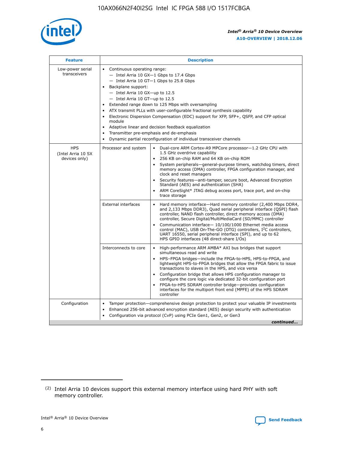

| <b>Feature</b>                                    | <b>Description</b>                                                                                                                                                                                                                                                                                                                                                                                                                                                                                                                                                                                                                                      |  |  |  |  |  |  |  |  |
|---------------------------------------------------|---------------------------------------------------------------------------------------------------------------------------------------------------------------------------------------------------------------------------------------------------------------------------------------------------------------------------------------------------------------------------------------------------------------------------------------------------------------------------------------------------------------------------------------------------------------------------------------------------------------------------------------------------------|--|--|--|--|--|--|--|--|
| Low-power serial<br>transceivers                  | • Continuous operating range:<br>- Intel Arria 10 GX-1 Gbps to 17.4 Gbps<br>- Intel Arria 10 GT-1 Gbps to 25.8 Gbps<br>Backplane support:<br>$-$ Intel Arria 10 GX-up to 12.5<br>- Intel Arria 10 GT-up to 12.5<br>Extended range down to 125 Mbps with oversampling<br>ATX transmit PLLs with user-configurable fractional synthesis capability<br>• Electronic Dispersion Compensation (EDC) support for XFP, SFP+, QSFP, and CFP optical<br>module<br>Adaptive linear and decision feedback equalization<br>$\bullet$<br>Transmitter pre-emphasis and de-emphasis<br>$\bullet$<br>Dynamic partial reconfiguration of individual transceiver channels |  |  |  |  |  |  |  |  |
| <b>HPS</b><br>(Intel Arria 10 SX<br>devices only) | Processor and system<br>Dual-core ARM Cortex-A9 MPCore processor-1.2 GHz CPU with<br>$\bullet$<br>1.5 GHz overdrive capability<br>• 256 KB on-chip RAM and 64 KB on-chip ROM<br>System peripherals-general-purpose timers, watchdog timers, direct<br>memory access (DMA) controller, FPGA configuration manager, and<br>clock and reset managers<br>• Security features—anti-tamper, secure boot, Advanced Encryption<br>Standard (AES) and authentication (SHA)<br>ARM CoreSight* JTAG debug access port, trace port, and on-chip<br>trace storage                                                                                                    |  |  |  |  |  |  |  |  |
|                                                   | <b>External interfaces</b><br>Hard memory interface—Hard memory controller (2,400 Mbps DDR4,<br>$\bullet$<br>and 2,133 Mbps DDR3), Quad serial peripheral interface (QSPI) flash<br>controller, NAND flash controller, direct memory access (DMA)<br>controller, Secure Digital/MultiMediaCard (SD/MMC) controller<br>Communication interface-10/100/1000 Ethernet media access<br>control (MAC), USB On-The-GO (OTG) controllers, I <sup>2</sup> C controllers,<br>UART 16550, serial peripheral interface (SPI), and up to 62<br>HPS GPIO interfaces (48 direct-share I/Os)                                                                           |  |  |  |  |  |  |  |  |
|                                                   | High-performance ARM AMBA* AXI bus bridges that support<br>Interconnects to core<br>$\bullet$<br>simultaneous read and write<br>HPS-FPGA bridges—include the FPGA-to-HPS, HPS-to-FPGA, and<br>lightweight HPS-to-FPGA bridges that allow the FPGA fabric to issue<br>transactions to slaves in the HPS, and vice versa<br>Configuration bridge that allows HPS configuration manager to<br>configure the core logic via dedicated 32-bit configuration port<br>FPGA-to-HPS SDRAM controller bridge-provides configuration<br>interfaces for the multiport front end (MPFE) of the HPS SDRAM<br>controller                                               |  |  |  |  |  |  |  |  |
| Configuration                                     | Tamper protection—comprehensive design protection to protect your valuable IP investments<br>Enhanced 256-bit advanced encryption standard (AES) design security with authentication<br>٠<br>Configuration via protocol (CvP) using PCIe Gen1, Gen2, or Gen3<br>continued                                                                                                                                                                                                                                                                                                                                                                               |  |  |  |  |  |  |  |  |

<sup>(2)</sup> Intel Arria 10 devices support this external memory interface using hard PHY with soft memory controller.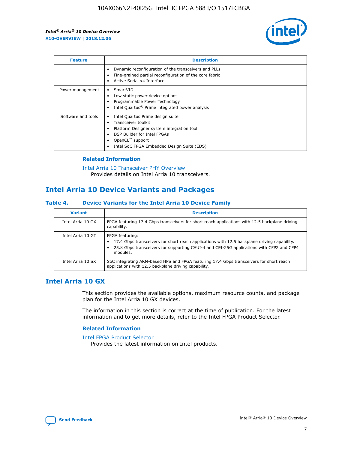

| <b>Feature</b>     | <b>Description</b>                                                                                                                                                                                                            |
|--------------------|-------------------------------------------------------------------------------------------------------------------------------------------------------------------------------------------------------------------------------|
|                    | Dynamic reconfiguration of the transceivers and PLLs<br>Fine-grained partial reconfiguration of the core fabric<br>Active Serial x4 Interface<br>$\bullet$                                                                    |
| Power management   | SmartVID<br>Low static power device options<br>Programmable Power Technology<br>Intel Quartus <sup>®</sup> Prime integrated power analysis                                                                                    |
| Software and tools | Intel Quartus Prime design suite<br>Transceiver toolkit<br>$\bullet$<br>Platform Designer system integration tool<br>DSP Builder for Intel FPGAs<br>OpenCL <sup>™</sup> support<br>Intel SoC FPGA Embedded Design Suite (EDS) |

## **Related Information**

[Intel Arria 10 Transceiver PHY Overview](https://www.intel.com/content/www/us/en/programmable/documentation/nik1398707230472.html#nik1398706768037) Provides details on Intel Arria 10 transceivers.

# **Intel Arria 10 Device Variants and Packages**

#### **Table 4. Device Variants for the Intel Arria 10 Device Family**

| <b>Variant</b>    | <b>Description</b>                                                                                                                                                                                                     |
|-------------------|------------------------------------------------------------------------------------------------------------------------------------------------------------------------------------------------------------------------|
| Intel Arria 10 GX | FPGA featuring 17.4 Gbps transceivers for short reach applications with 12.5 backplane driving<br>capability.                                                                                                          |
| Intel Arria 10 GT | FPGA featuring:<br>17.4 Gbps transceivers for short reach applications with 12.5 backplane driving capability.<br>25.8 Gbps transceivers for supporting CAUI-4 and CEI-25G applications with CFP2 and CFP4<br>modules. |
| Intel Arria 10 SX | SoC integrating ARM-based HPS and FPGA featuring 17.4 Gbps transceivers for short reach<br>applications with 12.5 backplane driving capability.                                                                        |

# **Intel Arria 10 GX**

This section provides the available options, maximum resource counts, and package plan for the Intel Arria 10 GX devices.

The information in this section is correct at the time of publication. For the latest information and to get more details, refer to the Intel FPGA Product Selector.

#### **Related Information**

#### [Intel FPGA Product Selector](http://www.altera.com/products/selector/psg-selector.html) Provides the latest information on Intel products.

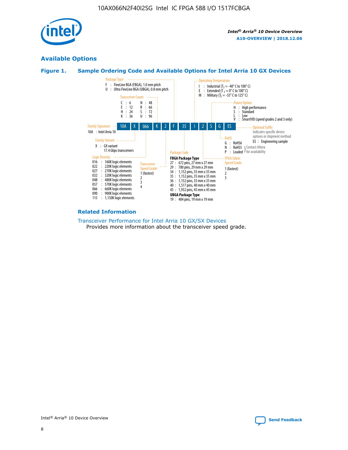

# **Available Options**





#### **Related Information**

[Transceiver Performance for Intel Arria 10 GX/SX Devices](https://www.intel.com/content/www/us/en/programmable/documentation/mcn1413182292568.html#mcn1413213965502) Provides more information about the transceiver speed grade.

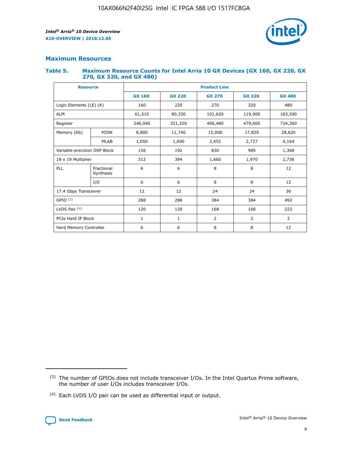

## **Maximum Resources**

#### **Table 5. Maximum Resource Counts for Intel Arria 10 GX Devices (GX 160, GX 220, GX 270, GX 320, and GX 480)**

| <b>Resource</b>              |                         | <b>Product Line</b> |                                                 |                |                |                |  |  |  |
|------------------------------|-------------------------|---------------------|-------------------------------------------------|----------------|----------------|----------------|--|--|--|
|                              |                         | <b>GX 160</b>       | <b>GX 220</b><br><b>GX 270</b><br><b>GX 320</b> |                |                | <b>GX 480</b>  |  |  |  |
| Logic Elements (LE) (K)      |                         | 160                 | 220                                             | 270            | 320            | 480            |  |  |  |
| <b>ALM</b>                   |                         | 61,510              | 80,330                                          | 101,620        | 119,900        | 183,590        |  |  |  |
| Register                     |                         | 246,040             | 321,320                                         | 406,480        | 479,600        | 734,360        |  |  |  |
| Memory (Kb)                  | M <sub>20</sub> K       | 8,800               | 11,740                                          | 15,000         | 17,820         | 28,620         |  |  |  |
|                              | <b>MLAB</b>             | 1,050               | 1,690                                           | 2,452          | 2,727          | 4,164          |  |  |  |
| Variable-precision DSP Block |                         | 156                 | 192                                             | 985<br>830     |                | 1,368          |  |  |  |
| 18 x 19 Multiplier           |                         | 312                 | 384                                             | 1,660<br>1,970 |                | 2,736          |  |  |  |
| PLL                          | Fractional<br>Synthesis | 6                   | 6                                               | 8              | 8              | 12             |  |  |  |
|                              | I/O                     | 6                   | 6                                               | 8              | 8              | 12             |  |  |  |
| 17.4 Gbps Transceiver        |                         | 12                  | 12                                              | 24             | 24             | 36             |  |  |  |
| GPIO <sup>(3)</sup>          |                         | 288                 | 288                                             | 384<br>384     |                | 492            |  |  |  |
| LVDS Pair $(4)$              |                         | 120                 | 120                                             | 168            | 168            | 222            |  |  |  |
| PCIe Hard IP Block           |                         | $\mathbf{1}$        | 1                                               | $\overline{2}$ | $\overline{2}$ | $\overline{2}$ |  |  |  |
| Hard Memory Controller       |                         | 6                   | 6                                               | 8              | 8              | 12             |  |  |  |

<sup>(4)</sup> Each LVDS I/O pair can be used as differential input or output.



<sup>(3)</sup> The number of GPIOs does not include transceiver I/Os. In the Intel Quartus Prime software, the number of user I/Os includes transceiver I/Os.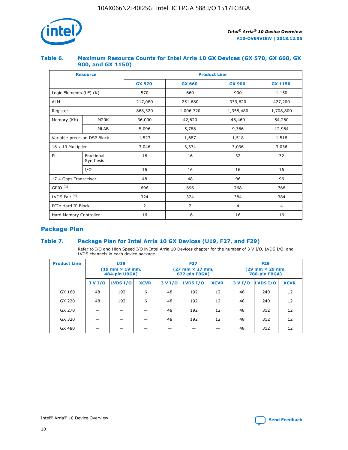

## **Table 6. Maximum Resource Counts for Intel Arria 10 GX Devices (GX 570, GX 660, GX 900, and GX 1150)**

|                              | <b>Resource</b>         | <b>Product Line</b> |                |                |                |  |  |  |
|------------------------------|-------------------------|---------------------|----------------|----------------|----------------|--|--|--|
|                              |                         | <b>GX 570</b>       | <b>GX 660</b>  | <b>GX 900</b>  | <b>GX 1150</b> |  |  |  |
| Logic Elements (LE) (K)      |                         | 570                 | 660            | 900            | 1,150          |  |  |  |
| <b>ALM</b>                   |                         | 217,080             | 251,680        | 339,620        | 427,200        |  |  |  |
| Register                     |                         | 868,320             | 1,006,720      | 1,358,480      | 1,708,800      |  |  |  |
| Memory (Kb)                  | <b>M20K</b>             | 36,000              | 42,620         | 48,460         | 54,260         |  |  |  |
|                              | <b>MLAB</b>             | 5,096               | 5,788          | 9,386          | 12,984         |  |  |  |
| Variable-precision DSP Block |                         | 1,523               | 1,687          | 1,518          | 1,518          |  |  |  |
|                              | 18 x 19 Multiplier      |                     | 3,374          | 3,036          | 3,036          |  |  |  |
| PLL                          | Fractional<br>Synthesis | 16                  | 16             | 32             | 32             |  |  |  |
|                              | I/O                     | 16                  | 16             | 16             | 16             |  |  |  |
| 17.4 Gbps Transceiver        |                         | 48                  | 48             | 96             | 96             |  |  |  |
| GPIO <sup>(3)</sup>          |                         | 696                 | 696            | 768            | 768            |  |  |  |
| LVDS Pair $(4)$              |                         | 324                 | 324            | 384            | 384            |  |  |  |
| PCIe Hard IP Block           |                         | 2                   | $\overline{2}$ | $\overline{4}$ | $\overline{4}$ |  |  |  |
| Hard Memory Controller       |                         | 16                  | 16             | 16             | 16             |  |  |  |

# **Package Plan**

# **Table 7. Package Plan for Intel Arria 10 GX Devices (U19, F27, and F29)**

Refer to I/O and High Speed I/O in Intel Arria 10 Devices chapter for the number of 3 V I/O, LVDS I/O, and LVDS channels in each device package.

| <b>Product Line</b> | U <sub>19</sub><br>$(19 \text{ mm} \times 19 \text{ mm})$<br>484-pin UBGA) |          |             |         | <b>F27</b><br>(27 mm × 27 mm,<br>672-pin FBGA) |             | <b>F29</b><br>(29 mm × 29 mm,<br>780-pin FBGA) |          |             |  |
|---------------------|----------------------------------------------------------------------------|----------|-------------|---------|------------------------------------------------|-------------|------------------------------------------------|----------|-------------|--|
|                     | 3 V I/O                                                                    | LVDS I/O | <b>XCVR</b> | 3 V I/O | LVDS I/O                                       | <b>XCVR</b> | 3 V I/O                                        | LVDS I/O | <b>XCVR</b> |  |
| GX 160              | 48                                                                         | 192      | 6           | 48      | 192                                            | 12          | 48                                             | 240      | 12          |  |
| GX 220              | 48                                                                         | 192      | 6           | 48      | 192                                            | 12          | 48                                             | 240      | 12          |  |
| GX 270              |                                                                            |          |             | 48      | 192                                            | 12          | 48                                             | 312      | 12          |  |
| GX 320              |                                                                            |          |             | 48      | 192                                            | 12          | 48                                             | 312      | 12          |  |
| GX 480              |                                                                            |          |             |         |                                                |             | 48                                             | 312      | 12          |  |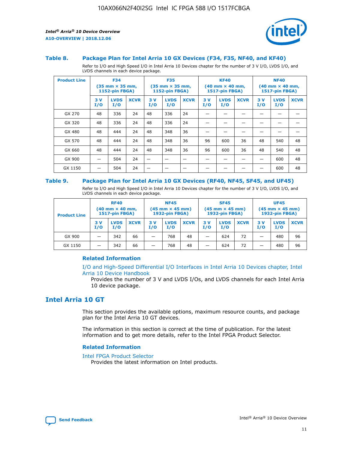

#### **Table 8. Package Plan for Intel Arria 10 GX Devices (F34, F35, NF40, and KF40)**

Refer to I/O and High Speed I/O in Intel Arria 10 Devices chapter for the number of 3 V I/O, LVDS I/O, and LVDS channels in each device package.

| <b>Product Line</b> | <b>F34</b><br>$(35 \text{ mm} \times 35 \text{ mm})$<br><b>1152-pin FBGA)</b> |                    | <b>F35</b><br>$(35 \text{ mm} \times 35 \text{ mm})$<br><b>1152-pin FBGA)</b> |           | <b>KF40</b><br>$(40$ mm $\times$ 40 mm,<br><b>1517-pin FBGA)</b> |             |           | <b>NF40</b><br>$(40 \text{ mm} \times 40 \text{ mm})$<br>1517-pin FBGA) |             |           |                    |             |
|---------------------|-------------------------------------------------------------------------------|--------------------|-------------------------------------------------------------------------------|-----------|------------------------------------------------------------------|-------------|-----------|-------------------------------------------------------------------------|-------------|-----------|--------------------|-------------|
|                     | 3V<br>I/O                                                                     | <b>LVDS</b><br>I/O | <b>XCVR</b>                                                                   | 3V<br>I/O | <b>LVDS</b><br>I/O                                               | <b>XCVR</b> | 3V<br>I/O | <b>LVDS</b><br>I/O                                                      | <b>XCVR</b> | 3V<br>I/O | <b>LVDS</b><br>I/O | <b>XCVR</b> |
| GX 270              | 48                                                                            | 336                | 24                                                                            | 48        | 336                                                              | 24          |           |                                                                         |             |           |                    |             |
| GX 320              | 48                                                                            | 336                | 24                                                                            | 48        | 336                                                              | 24          |           |                                                                         |             |           |                    |             |
| GX 480              | 48                                                                            | 444                | 24                                                                            | 48        | 348                                                              | 36          |           |                                                                         |             |           |                    |             |
| GX 570              | 48                                                                            | 444                | 24                                                                            | 48        | 348                                                              | 36          | 96        | 600                                                                     | 36          | 48        | 540                | 48          |
| GX 660              | 48                                                                            | 444                | 24                                                                            | 48        | 348                                                              | 36          | 96        | 600                                                                     | 36          | 48        | 540                | 48          |
| GX 900              |                                                                               | 504                | 24                                                                            | –         |                                                                  | -           |           |                                                                         |             |           | 600                | 48          |
| GX 1150             |                                                                               | 504                | 24                                                                            |           |                                                                  |             |           |                                                                         |             |           | 600                | 48          |

#### **Table 9. Package Plan for Intel Arria 10 GX Devices (RF40, NF45, SF45, and UF45)**

Refer to I/O and High Speed I/O in Intel Arria 10 Devices chapter for the number of 3 V I/O, LVDS I/O, and LVDS channels in each device package.

| <b>Product Line</b> | <b>RF40</b><br>$(40$ mm $\times$ 40 mm,<br>1517-pin FBGA) |                    | <b>NF45</b><br>$(45 \text{ mm} \times 45 \text{ mm})$<br><b>1932-pin FBGA)</b> |            |                    | <b>SF45</b><br>$(45 \text{ mm} \times 45 \text{ mm})$<br><b>1932-pin FBGA)</b> |            |                    | <b>UF45</b><br>$(45 \text{ mm} \times 45 \text{ mm})$<br><b>1932-pin FBGA)</b> |           |                    |             |
|---------------------|-----------------------------------------------------------|--------------------|--------------------------------------------------------------------------------|------------|--------------------|--------------------------------------------------------------------------------|------------|--------------------|--------------------------------------------------------------------------------|-----------|--------------------|-------------|
|                     | 3V<br>I/O                                                 | <b>LVDS</b><br>I/O | <b>XCVR</b>                                                                    | 3 V<br>I/O | <b>LVDS</b><br>I/O | <b>XCVR</b>                                                                    | 3 V<br>I/O | <b>LVDS</b><br>I/O | <b>XCVR</b>                                                                    | 3V<br>I/O | <b>LVDS</b><br>I/O | <b>XCVR</b> |
| GX 900              |                                                           | 342                | 66                                                                             | _          | 768                | 48                                                                             |            | 624                | 72                                                                             |           | 480                | 96          |
| GX 1150             |                                                           | 342                | 66                                                                             | _          | 768                | 48                                                                             |            | 624                | 72                                                                             |           | 480                | 96          |

### **Related Information**

[I/O and High-Speed Differential I/O Interfaces in Intel Arria 10 Devices chapter, Intel](https://www.intel.com/content/www/us/en/programmable/documentation/sam1403482614086.html#sam1403482030321) [Arria 10 Device Handbook](https://www.intel.com/content/www/us/en/programmable/documentation/sam1403482614086.html#sam1403482030321)

Provides the number of 3 V and LVDS I/Os, and LVDS channels for each Intel Arria 10 device package.

# **Intel Arria 10 GT**

This section provides the available options, maximum resource counts, and package plan for the Intel Arria 10 GT devices.

The information in this section is correct at the time of publication. For the latest information and to get more details, refer to the Intel FPGA Product Selector.

#### **Related Information**

#### [Intel FPGA Product Selector](http://www.altera.com/products/selector/psg-selector.html)

Provides the latest information on Intel products.

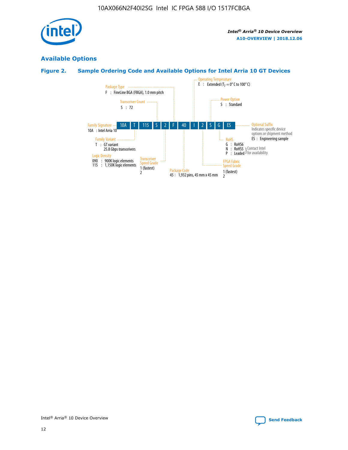

# **Available Options**

# **Figure 2. Sample Ordering Code and Available Options for Intel Arria 10 GT Devices**

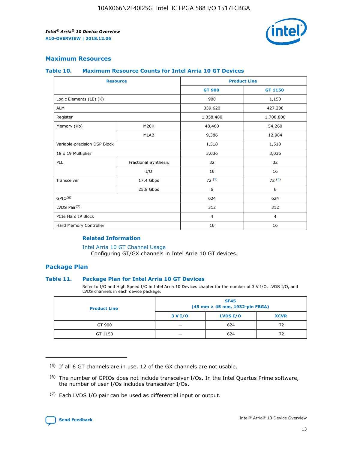

## **Maximum Resources**

#### **Table 10. Maximum Resource Counts for Intel Arria 10 GT Devices**

|                              | <b>Resource</b>      | <b>Product Line</b> |                |  |
|------------------------------|----------------------|---------------------|----------------|--|
|                              |                      | <b>GT 900</b>       | GT 1150        |  |
| Logic Elements (LE) (K)      |                      | 900                 | 1,150          |  |
| <b>ALM</b>                   |                      | 339,620             | 427,200        |  |
| Register                     |                      | 1,358,480           | 1,708,800      |  |
| Memory (Kb)                  | M20K                 | 48,460              | 54,260         |  |
|                              | <b>MLAB</b>          | 9,386               | 12,984         |  |
| Variable-precision DSP Block |                      | 1,518               | 1,518          |  |
| 18 x 19 Multiplier           |                      | 3,036               | 3,036          |  |
| PLL                          | Fractional Synthesis | 32                  | 32             |  |
|                              | I/O                  | 16                  | 16             |  |
| Transceiver                  | 17.4 Gbps            | 72(5)               | 72(5)          |  |
|                              | 25.8 Gbps            | 6                   | 6              |  |
| GPIO <sup>(6)</sup>          |                      | 624                 | 624            |  |
| LVDS Pair $(7)$              |                      | 312                 | 312            |  |
| PCIe Hard IP Block           |                      | $\overline{4}$      | $\overline{4}$ |  |
| Hard Memory Controller       |                      | 16                  | 16             |  |

### **Related Information**

#### [Intel Arria 10 GT Channel Usage](https://www.intel.com/content/www/us/en/programmable/documentation/nik1398707230472.html#nik1398707008178)

Configuring GT/GX channels in Intel Arria 10 GT devices.

## **Package Plan**

#### **Table 11. Package Plan for Intel Arria 10 GT Devices**

Refer to I/O and High Speed I/O in Intel Arria 10 Devices chapter for the number of 3 V I/O, LVDS I/O, and LVDS channels in each device package.

| <b>Product Line</b> | <b>SF45</b><br>(45 mm × 45 mm, 1932-pin FBGA) |                 |             |  |  |  |
|---------------------|-----------------------------------------------|-----------------|-------------|--|--|--|
|                     | 3 V I/O                                       | <b>LVDS I/O</b> | <b>XCVR</b> |  |  |  |
| GT 900              |                                               | 624             | 72          |  |  |  |
| GT 1150             |                                               | 624             | 72          |  |  |  |

<sup>(7)</sup> Each LVDS I/O pair can be used as differential input or output.



 $(5)$  If all 6 GT channels are in use, 12 of the GX channels are not usable.

<sup>(6)</sup> The number of GPIOs does not include transceiver I/Os. In the Intel Quartus Prime software, the number of user I/Os includes transceiver I/Os.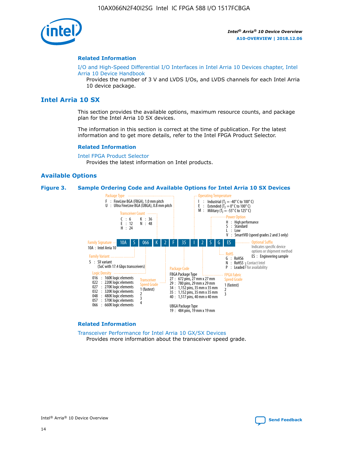

#### **Related Information**

[I/O and High-Speed Differential I/O Interfaces in Intel Arria 10 Devices chapter, Intel](https://www.intel.com/content/www/us/en/programmable/documentation/sam1403482614086.html#sam1403482030321) [Arria 10 Device Handbook](https://www.intel.com/content/www/us/en/programmable/documentation/sam1403482614086.html#sam1403482030321)

Provides the number of 3 V and LVDS I/Os, and LVDS channels for each Intel Arria 10 device package.

# **Intel Arria 10 SX**

This section provides the available options, maximum resource counts, and package plan for the Intel Arria 10 SX devices.

The information in this section is correct at the time of publication. For the latest information and to get more details, refer to the Intel FPGA Product Selector.

#### **Related Information**

[Intel FPGA Product Selector](http://www.altera.com/products/selector/psg-selector.html) Provides the latest information on Intel products.

#### **Available Options**

#### **Figure 3. Sample Ordering Code and Available Options for Intel Arria 10 SX Devices**



#### **Related Information**

[Transceiver Performance for Intel Arria 10 GX/SX Devices](https://www.intel.com/content/www/us/en/programmable/documentation/mcn1413182292568.html#mcn1413213965502) Provides more information about the transceiver speed grade.

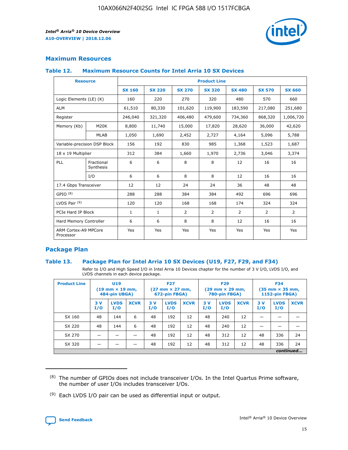

# **Maximum Resources**

#### **Table 12. Maximum Resource Counts for Intel Arria 10 SX Devices**

| <b>Resource</b>                   |                         | <b>Product Line</b> |               |                |                |                |                |                |  |  |  |
|-----------------------------------|-------------------------|---------------------|---------------|----------------|----------------|----------------|----------------|----------------|--|--|--|
|                                   |                         | <b>SX 160</b>       | <b>SX 220</b> | <b>SX 270</b>  | <b>SX 320</b>  | <b>SX 480</b>  | <b>SX 570</b>  | <b>SX 660</b>  |  |  |  |
| Logic Elements (LE) (K)           |                         | 160                 | 220           | 270            | 320            | 480            | 570            | 660            |  |  |  |
| <b>ALM</b>                        |                         | 61,510              | 80,330        | 101,620        | 119,900        | 183,590        | 217,080        | 251,680        |  |  |  |
| Register                          |                         | 246,040             | 321,320       | 406,480        | 479,600        | 734,360        | 868,320        | 1,006,720      |  |  |  |
| Memory (Kb)                       | <b>M20K</b>             | 8,800               | 11,740        | 15,000         | 17,820         | 28,620         | 36,000         | 42,620         |  |  |  |
|                                   | <b>MLAB</b>             | 1,050               | 1,690         | 2,452          | 2,727          | 4,164          | 5,096          | 5,788          |  |  |  |
| Variable-precision DSP Block      |                         | 156                 | 192           | 830            | 985            | 1,368          | 1,523          | 1,687          |  |  |  |
| 18 x 19 Multiplier                |                         | 312                 | 384           | 1,660          | 1,970          | 2,736          | 3,046          | 3,374          |  |  |  |
| PLL                               | Fractional<br>Synthesis | 6                   | 6             | 8              | 8              | 12             | 16             | 16             |  |  |  |
|                                   | I/O                     | 6                   | 6             | 8              | 8              | 12             | 16             | 16             |  |  |  |
| 17.4 Gbps Transceiver             |                         | 12                  | 12            | 24             | 24             | 36             | 48             | 48             |  |  |  |
| GPIO <sup>(8)</sup>               |                         | 288                 | 288           | 384            | 384            | 492            | 696            | 696            |  |  |  |
| LVDS Pair $(9)$                   |                         | 120                 | 120           | 168            | 168            | 174            | 324            | 324            |  |  |  |
| PCIe Hard IP Block                |                         | $\mathbf{1}$        | $\mathbf{1}$  | $\overline{2}$ | $\overline{2}$ | $\overline{2}$ | $\overline{2}$ | $\overline{2}$ |  |  |  |
| Hard Memory Controller            |                         | 6                   | 6             | 8              | 8              | 12             | 16             | 16             |  |  |  |
| ARM Cortex-A9 MPCore<br>Processor |                         | Yes                 | Yes           | Yes            | Yes            | Yes            | Yes            | <b>Yes</b>     |  |  |  |

# **Package Plan**

#### **Table 13. Package Plan for Intel Arria 10 SX Devices (U19, F27, F29, and F34)**

Refer to I/O and High Speed I/O in Intel Arria 10 Devices chapter for the number of 3 V I/O, LVDS I/O, and LVDS channels in each device package.

| <b>Product Line</b> | U19<br>$(19 \text{ mm} \times 19 \text{ mm})$<br>484-pin UBGA) |                    | <b>F27</b><br>$(27 \text{ mm} \times 27 \text{ mm})$<br>672-pin FBGA) |           | <b>F29</b><br>$(29 \text{ mm} \times 29 \text{ mm})$<br>780-pin FBGA) |             |            | <b>F34</b><br>$(35 \text{ mm} \times 35 \text{ mm})$<br><b>1152-pin FBGA)</b> |             |           |                    |             |
|---------------------|----------------------------------------------------------------|--------------------|-----------------------------------------------------------------------|-----------|-----------------------------------------------------------------------|-------------|------------|-------------------------------------------------------------------------------|-------------|-----------|--------------------|-------------|
|                     | 3V<br>I/O                                                      | <b>LVDS</b><br>I/O | <b>XCVR</b>                                                           | 3V<br>I/O | <b>LVDS</b><br>I/O                                                    | <b>XCVR</b> | 3 V<br>I/O | <b>LVDS</b><br>I/O                                                            | <b>XCVR</b> | 3V<br>I/O | <b>LVDS</b><br>I/O | <b>XCVR</b> |
| SX 160              | 48                                                             | 144                | 6                                                                     | 48        | 192                                                                   | 12          | 48         | 240                                                                           | 12          | –         |                    |             |
| SX 220              | 48                                                             | 144                | 6                                                                     | 48        | 192                                                                   | 12          | 48         | 240                                                                           | 12          |           |                    |             |
| SX 270              |                                                                |                    |                                                                       | 48        | 192                                                                   | 12          | 48         | 312                                                                           | 12          | 48        | 336                | 24          |
| SX 320              |                                                                |                    |                                                                       | 48        | 192                                                                   | 12          | 48         | 312                                                                           | 12          | 48        | 336                | 24          |
|                     | continued                                                      |                    |                                                                       |           |                                                                       |             |            |                                                                               |             |           |                    |             |

 $(8)$  The number of GPIOs does not include transceiver I/Os. In the Intel Quartus Prime software, the number of user I/Os includes transceiver I/Os.

 $(9)$  Each LVDS I/O pair can be used as differential input or output.

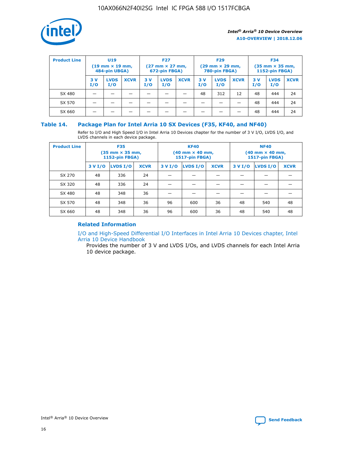

| <b>Product Line</b> | U <sub>19</sub><br>$(19 \text{ mm} \times 19 \text{ mm})$<br>484-pin UBGA) |                    | <b>F27</b><br>$(27 \text{ mm} \times 27 \text{ mm})$<br>672-pin FBGA) |           | <b>F29</b><br>$(29 \text{ mm} \times 29 \text{ mm})$<br>780-pin FBGA) |             |           | <b>F34</b><br>$(35 \text{ mm} \times 35 \text{ mm})$<br><b>1152-pin FBGA)</b> |             |           |                    |             |
|---------------------|----------------------------------------------------------------------------|--------------------|-----------------------------------------------------------------------|-----------|-----------------------------------------------------------------------|-------------|-----------|-------------------------------------------------------------------------------|-------------|-----------|--------------------|-------------|
|                     | 3 V<br>I/O                                                                 | <b>LVDS</b><br>I/O | <b>XCVR</b>                                                           | 3V<br>I/O | <b>LVDS</b><br>I/O                                                    | <b>XCVR</b> | 3V<br>I/O | <b>LVDS</b><br>I/O                                                            | <b>XCVR</b> | 3V<br>I/O | <b>LVDS</b><br>I/O | <b>XCVR</b> |
| SX 480              |                                                                            |                    |                                                                       |           |                                                                       |             | 48        | 312                                                                           | 12          | 48        | 444                | 24          |
| SX 570              |                                                                            |                    |                                                                       |           |                                                                       |             |           |                                                                               |             | 48        | 444                | 24          |
| SX 660              |                                                                            |                    |                                                                       |           |                                                                       |             |           |                                                                               |             | 48        | 444                | 24          |

## **Table 14. Package Plan for Intel Arria 10 SX Devices (F35, KF40, and NF40)**

Refer to I/O and High Speed I/O in Intel Arria 10 Devices chapter for the number of 3 V I/O, LVDS I/O, and LVDS channels in each device package.

| <b>Product Line</b> | <b>F35</b><br>$(35 \text{ mm} \times 35 \text{ mm})$<br><b>1152-pin FBGA)</b> |          |             |                                           | <b>KF40</b><br>(40 mm × 40 mm,<br>1517-pin FBGA) |    | <b>NF40</b><br>$(40 \text{ mm} \times 40 \text{ mm})$<br>1517-pin FBGA) |          |             |  |
|---------------------|-------------------------------------------------------------------------------|----------|-------------|-------------------------------------------|--------------------------------------------------|----|-------------------------------------------------------------------------|----------|-------------|--|
|                     | 3 V I/O                                                                       | LVDS I/O | <b>XCVR</b> | <b>LVDS I/O</b><br><b>XCVR</b><br>3 V I/O |                                                  |    | 3 V I/O                                                                 | LVDS I/O | <b>XCVR</b> |  |
| SX 270              | 48                                                                            | 336      | 24          |                                           |                                                  |    |                                                                         |          |             |  |
| SX 320              | 48                                                                            | 336      | 24          |                                           |                                                  |    |                                                                         |          |             |  |
| SX 480              | 48                                                                            | 348      | 36          |                                           |                                                  |    |                                                                         |          |             |  |
| SX 570              | 48                                                                            | 348      | 36          | 96                                        | 600                                              | 36 | 48                                                                      | 540      | 48          |  |
| SX 660              | 48                                                                            | 348      | 36          | 96                                        | 600                                              | 36 | 48                                                                      | 540      | 48          |  |

# **Related Information**

[I/O and High-Speed Differential I/O Interfaces in Intel Arria 10 Devices chapter, Intel](https://www.intel.com/content/www/us/en/programmable/documentation/sam1403482614086.html#sam1403482030321) [Arria 10 Device Handbook](https://www.intel.com/content/www/us/en/programmable/documentation/sam1403482614086.html#sam1403482030321)

Provides the number of 3 V and LVDS I/Os, and LVDS channels for each Intel Arria 10 device package.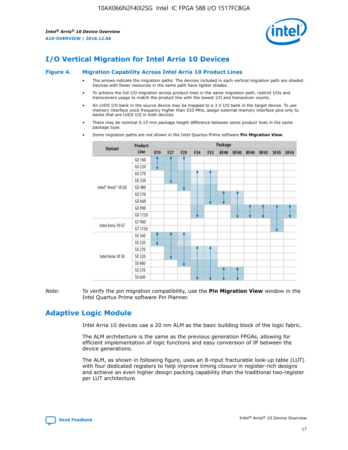

# **I/O Vertical Migration for Intel Arria 10 Devices**

#### **Figure 4. Migration Capability Across Intel Arria 10 Product Lines**

- The arrows indicate the migration paths. The devices included in each vertical migration path are shaded. Devices with fewer resources in the same path have lighter shades.
- To achieve the full I/O migration across product lines in the same migration path, restrict I/Os and transceivers usage to match the product line with the lowest I/O and transceiver counts.
- An LVDS I/O bank in the source device may be mapped to a 3 V I/O bank in the target device. To use memory interface clock frequency higher than 533 MHz, assign external memory interface pins only to banks that are LVDS I/O in both devices.
- There may be nominal 0.15 mm package height difference between some product lines in the same package type.
	- **Variant Product Line Package U19 F27 F29 F34 F35 KF40 NF40 RF40 NF45 SF45 UF45** Intel® Arria® 10 GX GX 160 GX 220 GX 270 GX 320 GX 480 GX 570 GX 660 GX 900 GX 1150 Intel Arria 10 GT GT 900 GT 1150 Intel Arria 10 SX SX 160 SX 220 SX 270 SX 320 SX 480 SX 570 SX 660
- Some migration paths are not shown in the Intel Quartus Prime software **Pin Migration View**.

*Note:* To verify the pin migration compatibility, use the **Pin Migration View** window in the Intel Quartus Prime software Pin Planner.

# **Adaptive Logic Module**

Intel Arria 10 devices use a 20 nm ALM as the basic building block of the logic fabric.

The ALM architecture is the same as the previous generation FPGAs, allowing for efficient implementation of logic functions and easy conversion of IP between the device generations.

The ALM, as shown in following figure, uses an 8-input fracturable look-up table (LUT) with four dedicated registers to help improve timing closure in register-rich designs and achieve an even higher design packing capability than the traditional two-register per LUT architecture.

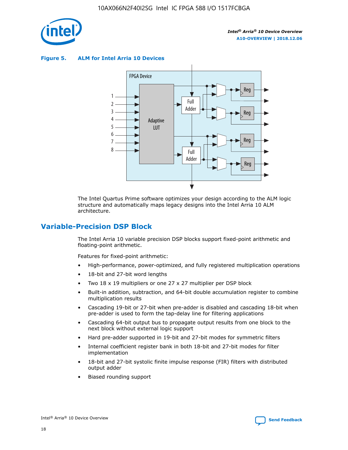

**Figure 5. ALM for Intel Arria 10 Devices**



The Intel Quartus Prime software optimizes your design according to the ALM logic structure and automatically maps legacy designs into the Intel Arria 10 ALM architecture.

# **Variable-Precision DSP Block**

The Intel Arria 10 variable precision DSP blocks support fixed-point arithmetic and floating-point arithmetic.

Features for fixed-point arithmetic:

- High-performance, power-optimized, and fully registered multiplication operations
- 18-bit and 27-bit word lengths
- Two 18 x 19 multipliers or one 27 x 27 multiplier per DSP block
- Built-in addition, subtraction, and 64-bit double accumulation register to combine multiplication results
- Cascading 19-bit or 27-bit when pre-adder is disabled and cascading 18-bit when pre-adder is used to form the tap-delay line for filtering applications
- Cascading 64-bit output bus to propagate output results from one block to the next block without external logic support
- Hard pre-adder supported in 19-bit and 27-bit modes for symmetric filters
- Internal coefficient register bank in both 18-bit and 27-bit modes for filter implementation
- 18-bit and 27-bit systolic finite impulse response (FIR) filters with distributed output adder
- Biased rounding support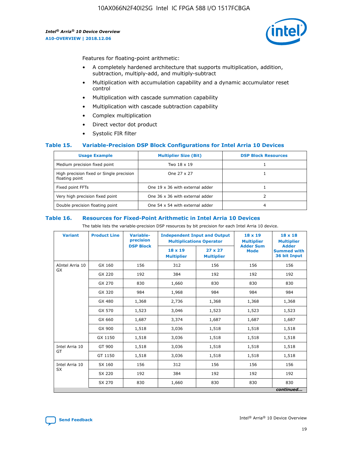

Features for floating-point arithmetic:

- A completely hardened architecture that supports multiplication, addition, subtraction, multiply-add, and multiply-subtract
- Multiplication with accumulation capability and a dynamic accumulator reset control
- Multiplication with cascade summation capability
- Multiplication with cascade subtraction capability
- Complex multiplication
- Direct vector dot product
- Systolic FIR filter

#### **Table 15. Variable-Precision DSP Block Configurations for Intel Arria 10 Devices**

| <b>Usage Example</b>                                       | <b>Multiplier Size (Bit)</b>    | <b>DSP Block Resources</b> |
|------------------------------------------------------------|---------------------------------|----------------------------|
| Medium precision fixed point                               | Two 18 x 19                     |                            |
| High precision fixed or Single precision<br>floating point | One 27 x 27                     |                            |
| Fixed point FFTs                                           | One 19 x 36 with external adder |                            |
| Very high precision fixed point                            | One 36 x 36 with external adder |                            |
| Double precision floating point                            | One 54 x 54 with external adder | 4                          |

#### **Table 16. Resources for Fixed-Point Arithmetic in Intel Arria 10 Devices**

The table lists the variable-precision DSP resources by bit precision for each Intel Arria 10 device.

| <b>Variant</b>  | <b>Product Line</b> | Variable-<br>precision<br><b>DSP Block</b> | <b>Independent Input and Output</b><br><b>Multiplications Operator</b> |                                     | 18 x 19<br><b>Multiplier</b><br><b>Adder Sum</b> | $18 \times 18$<br><b>Multiplier</b><br><b>Adder</b> |
|-----------------|---------------------|--------------------------------------------|------------------------------------------------------------------------|-------------------------------------|--------------------------------------------------|-----------------------------------------------------|
|                 |                     |                                            | 18 x 19<br><b>Multiplier</b>                                           | $27 \times 27$<br><b>Multiplier</b> | <b>Mode</b>                                      | <b>Summed with</b><br>36 bit Input                  |
| AIntel Arria 10 | GX 160              | 156                                        | 312                                                                    | 156                                 | 156                                              | 156                                                 |
| GX              | GX 220              | 192                                        | 384                                                                    | 192                                 | 192                                              | 192                                                 |
|                 | GX 270              | 830                                        | 1,660                                                                  | 830                                 | 830                                              | 830                                                 |
|                 | GX 320              | 984                                        | 1,968                                                                  | 984                                 | 984                                              | 984                                                 |
|                 | GX 480              | 1,368                                      | 2,736                                                                  | 1,368                               | 1,368                                            | 1,368                                               |
|                 | GX 570              | 1,523                                      | 3,046                                                                  | 1,523                               | 1,523                                            | 1,523                                               |
|                 | GX 660              | 1,687                                      | 3,374                                                                  | 1,687                               | 1,687                                            | 1,687                                               |
|                 | GX 900              | 1,518                                      | 3,036                                                                  | 1,518                               | 1,518                                            | 1,518                                               |
|                 | GX 1150             | 1,518                                      | 3,036                                                                  | 1,518                               | 1,518                                            | 1,518                                               |
| Intel Arria 10  | GT 900              | 1,518                                      | 3,036                                                                  | 1,518                               | 1,518                                            | 1,518                                               |
| GT              | GT 1150             | 1,518                                      | 3,036                                                                  | 1,518                               | 1,518                                            | 1,518                                               |
| Intel Arria 10  | SX 160              | 156                                        | 312                                                                    | 156                                 | 156                                              | 156                                                 |
| <b>SX</b>       | SX 220              | 192                                        | 384                                                                    | 192                                 | 192                                              | 192                                                 |
|                 | SX 270              | 830                                        | 1,660                                                                  | 830                                 | 830                                              | 830                                                 |
|                 |                     |                                            |                                                                        |                                     |                                                  | continued                                           |

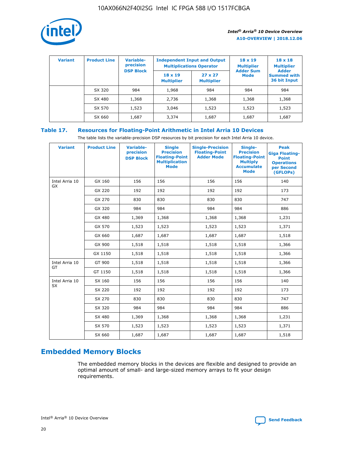

| <b>Variant</b> | <b>Product Line</b> | <b>Variable-</b><br>precision<br><b>DSP Block</b> | <b>Independent Input and Output</b><br><b>Multiplications Operator</b> |                                     | $18 \times 19$<br><b>Multiplier</b><br><b>Adder Sum</b> | $18 \times 18$<br><b>Multiplier</b><br><b>Adder</b> |  |
|----------------|---------------------|---------------------------------------------------|------------------------------------------------------------------------|-------------------------------------|---------------------------------------------------------|-----------------------------------------------------|--|
|                |                     |                                                   | $18 \times 19$<br><b>Multiplier</b>                                    | $27 \times 27$<br><b>Multiplier</b> | <b>Mode</b>                                             | <b>Summed with</b><br>36 bit Input                  |  |
|                | SX 320              | 984                                               | 1,968                                                                  | 984                                 | 984                                                     | 984                                                 |  |
|                | SX 480              | 1,368                                             | 2,736                                                                  | 1,368                               | 1,368                                                   | 1,368                                               |  |
|                | SX 570              | 1,523                                             | 3,046                                                                  | 1,523                               | 1,523                                                   | 1,523                                               |  |
|                | SX 660              | 1,687                                             | 3,374                                                                  | 1,687                               | 1,687                                                   | 1,687                                               |  |

# **Table 17. Resources for Floating-Point Arithmetic in Intel Arria 10 Devices**

The table lists the variable-precision DSP resources by bit precision for each Intel Arria 10 device.

| <b>Variant</b> | <b>Product Line</b> | <b>Variable-</b><br>precision<br><b>DSP Block</b> | <b>Single</b><br><b>Precision</b><br><b>Floating-Point</b><br><b>Multiplication</b><br><b>Mode</b> | <b>Single-Precision</b><br><b>Floating-Point</b><br><b>Adder Mode</b> | Single-<br><b>Precision</b><br><b>Floating-Point</b><br><b>Multiply</b><br><b>Accumulate</b><br><b>Mode</b> | <b>Peak</b><br><b>Giga Floating-</b><br><b>Point</b><br><b>Operations</b><br>per Second<br>(GFLOPs) |
|----------------|---------------------|---------------------------------------------------|----------------------------------------------------------------------------------------------------|-----------------------------------------------------------------------|-------------------------------------------------------------------------------------------------------------|-----------------------------------------------------------------------------------------------------|
| Intel Arria 10 | GX 160              | 156                                               | 156                                                                                                | 156                                                                   | 156                                                                                                         | 140                                                                                                 |
| GX             | GX 220              | 192                                               | 192                                                                                                | 192                                                                   | 192                                                                                                         | 173                                                                                                 |
|                | GX 270              | 830                                               | 830                                                                                                | 830                                                                   | 830                                                                                                         | 747                                                                                                 |
|                | GX 320              | 984                                               | 984                                                                                                | 984                                                                   | 984                                                                                                         | 886                                                                                                 |
|                | GX 480              | 1,369                                             | 1,368                                                                                              | 1,368                                                                 | 1,368                                                                                                       | 1,231                                                                                               |
|                | GX 570              | 1,523                                             | 1,523                                                                                              | 1,523                                                                 | 1,523                                                                                                       | 1,371                                                                                               |
|                | GX 660              | 1,687                                             | 1,687                                                                                              | 1,687                                                                 | 1,687                                                                                                       | 1,518                                                                                               |
|                | GX 900              | 1,518                                             | 1,518                                                                                              | 1,518                                                                 | 1,518                                                                                                       | 1,366                                                                                               |
|                | GX 1150             | 1,518                                             | 1,518                                                                                              | 1,518                                                                 | 1,518                                                                                                       | 1,366                                                                                               |
| Intel Arria 10 | GT 900              | 1,518                                             | 1,518                                                                                              | 1,518                                                                 | 1,518                                                                                                       | 1,366                                                                                               |
| GT             | GT 1150             | 1,518                                             | 1,518                                                                                              | 1,518                                                                 | 1,518                                                                                                       | 1,366                                                                                               |
| Intel Arria 10 | SX 160              | 156                                               | 156                                                                                                | 156                                                                   | 156                                                                                                         | 140                                                                                                 |
| <b>SX</b>      | SX 220              | 192                                               | 192                                                                                                | 192                                                                   | 192                                                                                                         | 173                                                                                                 |
|                | SX 270              | 830                                               | 830                                                                                                | 830                                                                   | 830                                                                                                         | 747                                                                                                 |
|                | SX 320              | 984                                               | 984                                                                                                | 984                                                                   | 984                                                                                                         | 886                                                                                                 |
|                | SX 480              | 1,369                                             | 1,368                                                                                              | 1,368                                                                 | 1,368                                                                                                       | 1,231                                                                                               |
|                | SX 570              | 1,523                                             | 1,523                                                                                              | 1,523                                                                 | 1,523                                                                                                       | 1,371                                                                                               |
|                | SX 660              | 1,687                                             | 1,687                                                                                              | 1,687                                                                 | 1,687                                                                                                       | 1,518                                                                                               |

# **Embedded Memory Blocks**

The embedded memory blocks in the devices are flexible and designed to provide an optimal amount of small- and large-sized memory arrays to fit your design requirements.

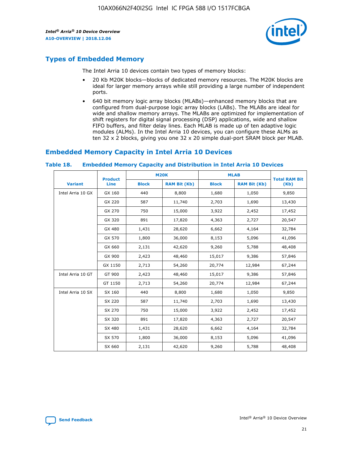

# **Types of Embedded Memory**

The Intel Arria 10 devices contain two types of memory blocks:

- 20 Kb M20K blocks—blocks of dedicated memory resources. The M20K blocks are ideal for larger memory arrays while still providing a large number of independent ports.
- 640 bit memory logic array blocks (MLABs)—enhanced memory blocks that are configured from dual-purpose logic array blocks (LABs). The MLABs are ideal for wide and shallow memory arrays. The MLABs are optimized for implementation of shift registers for digital signal processing (DSP) applications, wide and shallow FIFO buffers, and filter delay lines. Each MLAB is made up of ten adaptive logic modules (ALMs). In the Intel Arria 10 devices, you can configure these ALMs as ten 32 x 2 blocks, giving you one 32 x 20 simple dual-port SRAM block per MLAB.

# **Embedded Memory Capacity in Intel Arria 10 Devices**

|                   | <b>Product</b> |              | <b>M20K</b>         | <b>MLAB</b>  |                     | <b>Total RAM Bit</b> |
|-------------------|----------------|--------------|---------------------|--------------|---------------------|----------------------|
| <b>Variant</b>    | <b>Line</b>    | <b>Block</b> | <b>RAM Bit (Kb)</b> | <b>Block</b> | <b>RAM Bit (Kb)</b> | (Kb)                 |
| Intel Arria 10 GX | GX 160         | 440          | 8,800               | 1,680        | 1,050               | 9,850                |
|                   | GX 220         | 587          | 11,740              | 2,703        | 1,690               | 13,430               |
|                   | GX 270         | 750          | 15,000              | 3,922        | 2,452               | 17,452               |
|                   | GX 320         | 891          | 17,820              | 4,363        | 2,727               | 20,547               |
|                   | GX 480         | 1,431        | 28,620              | 6,662        | 4,164               | 32,784               |
|                   | GX 570         | 1,800        | 36,000              | 8,153        | 5,096               | 41,096               |
|                   | GX 660         | 2,131        | 42,620              | 9,260        | 5,788               | 48,408               |
|                   | GX 900         | 2,423        | 48,460              | 15,017       | 9,386               | 57,846               |
|                   | GX 1150        | 2,713        | 54,260              | 20,774       | 12,984              | 67,244               |
| Intel Arria 10 GT | GT 900         | 2,423        | 48,460              | 15,017       | 9,386               | 57,846               |
|                   | GT 1150        | 2,713        | 54,260              | 20,774       | 12,984              | 67,244               |
| Intel Arria 10 SX | SX 160         | 440          | 8,800               | 1,680        | 1,050               | 9,850                |
|                   | SX 220         | 587          | 11,740              | 2,703        | 1,690               | 13,430               |
|                   | SX 270         | 750          | 15,000              | 3,922        | 2,452               | 17,452               |
|                   | SX 320         | 891          | 17,820              | 4,363        | 2,727               | 20,547               |
|                   | SX 480         | 1,431        | 28,620              | 6,662        | 4,164               | 32,784               |
|                   | SX 570         | 1,800        | 36,000              | 8,153        | 5,096               | 41,096               |
|                   | SX 660         | 2,131        | 42,620              | 9,260        | 5,788               | 48,408               |

#### **Table 18. Embedded Memory Capacity and Distribution in Intel Arria 10 Devices**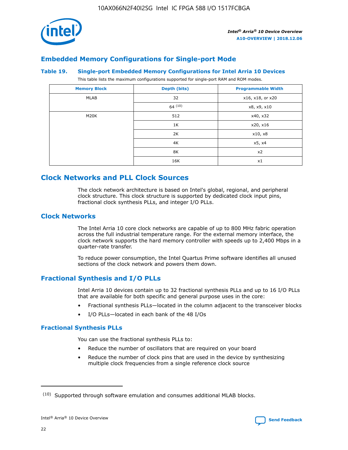

# **Embedded Memory Configurations for Single-port Mode**

#### **Table 19. Single-port Embedded Memory Configurations for Intel Arria 10 Devices**

This table lists the maximum configurations supported for single-port RAM and ROM modes.

| <b>Memory Block</b> | Depth (bits) | <b>Programmable Width</b> |
|---------------------|--------------|---------------------------|
| MLAB                | 32           | x16, x18, or x20          |
|                     | 64(10)       | x8, x9, x10               |
| M20K                | 512          | x40, x32                  |
|                     | 1K           | x20, x16                  |
|                     | 2K           | x10, x8                   |
|                     | 4K           | x5, x4                    |
|                     | 8K           | x2                        |
|                     | 16K          | x1                        |

# **Clock Networks and PLL Clock Sources**

The clock network architecture is based on Intel's global, regional, and peripheral clock structure. This clock structure is supported by dedicated clock input pins, fractional clock synthesis PLLs, and integer I/O PLLs.

# **Clock Networks**

The Intel Arria 10 core clock networks are capable of up to 800 MHz fabric operation across the full industrial temperature range. For the external memory interface, the clock network supports the hard memory controller with speeds up to 2,400 Mbps in a quarter-rate transfer.

To reduce power consumption, the Intel Quartus Prime software identifies all unused sections of the clock network and powers them down.

# **Fractional Synthesis and I/O PLLs**

Intel Arria 10 devices contain up to 32 fractional synthesis PLLs and up to 16 I/O PLLs that are available for both specific and general purpose uses in the core:

- Fractional synthesis PLLs—located in the column adjacent to the transceiver blocks
- I/O PLLs—located in each bank of the 48 I/Os

#### **Fractional Synthesis PLLs**

You can use the fractional synthesis PLLs to:

- Reduce the number of oscillators that are required on your board
- Reduce the number of clock pins that are used in the device by synthesizing multiple clock frequencies from a single reference clock source

<sup>(10)</sup> Supported through software emulation and consumes additional MLAB blocks.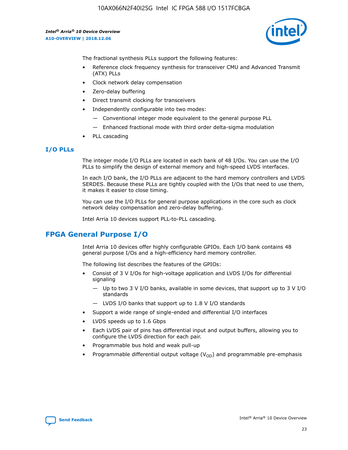

The fractional synthesis PLLs support the following features:

- Reference clock frequency synthesis for transceiver CMU and Advanced Transmit (ATX) PLLs
- Clock network delay compensation
- Zero-delay buffering
- Direct transmit clocking for transceivers
- Independently configurable into two modes:
	- Conventional integer mode equivalent to the general purpose PLL
	- Enhanced fractional mode with third order delta-sigma modulation
- PLL cascading

#### **I/O PLLs**

The integer mode I/O PLLs are located in each bank of 48 I/Os. You can use the I/O PLLs to simplify the design of external memory and high-speed LVDS interfaces.

In each I/O bank, the I/O PLLs are adjacent to the hard memory controllers and LVDS SERDES. Because these PLLs are tightly coupled with the I/Os that need to use them, it makes it easier to close timing.

You can use the I/O PLLs for general purpose applications in the core such as clock network delay compensation and zero-delay buffering.

Intel Arria 10 devices support PLL-to-PLL cascading.

# **FPGA General Purpose I/O**

Intel Arria 10 devices offer highly configurable GPIOs. Each I/O bank contains 48 general purpose I/Os and a high-efficiency hard memory controller.

The following list describes the features of the GPIOs:

- Consist of 3 V I/Os for high-voltage application and LVDS I/Os for differential signaling
	- Up to two 3 V I/O banks, available in some devices, that support up to 3 V I/O standards
	- LVDS I/O banks that support up to 1.8 V I/O standards
- Support a wide range of single-ended and differential I/O interfaces
- LVDS speeds up to 1.6 Gbps
- Each LVDS pair of pins has differential input and output buffers, allowing you to configure the LVDS direction for each pair.
- Programmable bus hold and weak pull-up
- Programmable differential output voltage  $(V_{OD})$  and programmable pre-emphasis

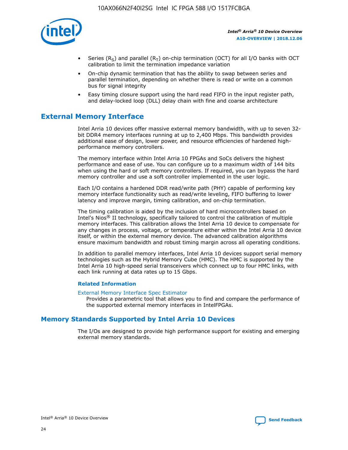

- Series (R<sub>S</sub>) and parallel (R<sub>T</sub>) on-chip termination (OCT) for all I/O banks with OCT calibration to limit the termination impedance variation
- On-chip dynamic termination that has the ability to swap between series and parallel termination, depending on whether there is read or write on a common bus for signal integrity
- Easy timing closure support using the hard read FIFO in the input register path, and delay-locked loop (DLL) delay chain with fine and coarse architecture

# **External Memory Interface**

Intel Arria 10 devices offer massive external memory bandwidth, with up to seven 32 bit DDR4 memory interfaces running at up to 2,400 Mbps. This bandwidth provides additional ease of design, lower power, and resource efficiencies of hardened highperformance memory controllers.

The memory interface within Intel Arria 10 FPGAs and SoCs delivers the highest performance and ease of use. You can configure up to a maximum width of 144 bits when using the hard or soft memory controllers. If required, you can bypass the hard memory controller and use a soft controller implemented in the user logic.

Each I/O contains a hardened DDR read/write path (PHY) capable of performing key memory interface functionality such as read/write leveling, FIFO buffering to lower latency and improve margin, timing calibration, and on-chip termination.

The timing calibration is aided by the inclusion of hard microcontrollers based on Intel's Nios® II technology, specifically tailored to control the calibration of multiple memory interfaces. This calibration allows the Intel Arria 10 device to compensate for any changes in process, voltage, or temperature either within the Intel Arria 10 device itself, or within the external memory device. The advanced calibration algorithms ensure maximum bandwidth and robust timing margin across all operating conditions.

In addition to parallel memory interfaces, Intel Arria 10 devices support serial memory technologies such as the Hybrid Memory Cube (HMC). The HMC is supported by the Intel Arria 10 high-speed serial transceivers which connect up to four HMC links, with each link running at data rates up to 15 Gbps.

#### **Related Information**

#### [External Memory Interface Spec Estimator](http://www.altera.com/technology/memory/estimator/mem-emif-index.html)

Provides a parametric tool that allows you to find and compare the performance of the supported external memory interfaces in IntelFPGAs.

# **Memory Standards Supported by Intel Arria 10 Devices**

The I/Os are designed to provide high performance support for existing and emerging external memory standards.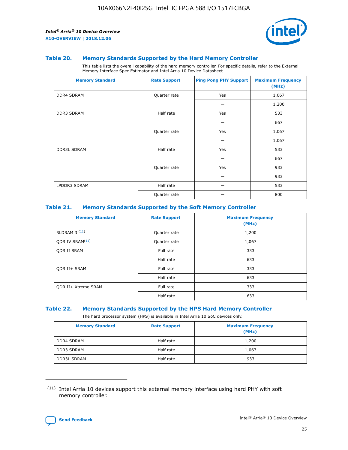

#### **Table 20. Memory Standards Supported by the Hard Memory Controller**

This table lists the overall capability of the hard memory controller. For specific details, refer to the External Memory Interface Spec Estimator and Intel Arria 10 Device Datasheet.

| <b>Memory Standard</b> | <b>Rate Support</b> | <b>Ping Pong PHY Support</b> | <b>Maximum Frequency</b><br>(MHz) |
|------------------------|---------------------|------------------------------|-----------------------------------|
| <b>DDR4 SDRAM</b>      | Quarter rate        | Yes                          | 1,067                             |
|                        |                     |                              | 1,200                             |
| DDR3 SDRAM             | Half rate           | Yes                          | 533                               |
|                        |                     |                              | 667                               |
|                        | Quarter rate        | Yes                          | 1,067                             |
|                        |                     |                              | 1,067                             |
| <b>DDR3L SDRAM</b>     | Half rate           | Yes                          | 533                               |
|                        |                     |                              | 667                               |
|                        | Quarter rate        | Yes                          | 933                               |
|                        |                     |                              | 933                               |
| LPDDR3 SDRAM           | Half rate           |                              | 533                               |
|                        | Quarter rate        |                              | 800                               |

#### **Table 21. Memory Standards Supported by the Soft Memory Controller**

| <b>Memory Standard</b>      | <b>Rate Support</b> | <b>Maximum Frequency</b><br>(MHz) |
|-----------------------------|---------------------|-----------------------------------|
| <b>RLDRAM 3 (11)</b>        | Quarter rate        | 1,200                             |
| ODR IV SRAM <sup>(11)</sup> | Quarter rate        | 1,067                             |
| <b>ODR II SRAM</b>          | Full rate           | 333                               |
|                             | Half rate           | 633                               |
| <b>ODR II+ SRAM</b>         | Full rate           | 333                               |
|                             | Half rate           | 633                               |
| <b>ODR II+ Xtreme SRAM</b>  | Full rate           | 333                               |
|                             | Half rate           | 633                               |

#### **Table 22. Memory Standards Supported by the HPS Hard Memory Controller**

The hard processor system (HPS) is available in Intel Arria 10 SoC devices only.

| <b>Memory Standard</b> | <b>Rate Support</b> | <b>Maximum Frequency</b><br>(MHz) |
|------------------------|---------------------|-----------------------------------|
| <b>DDR4 SDRAM</b>      | Half rate           | 1,200                             |
| <b>DDR3 SDRAM</b>      | Half rate           | 1,067                             |
| <b>DDR3L SDRAM</b>     | Half rate           | 933                               |

<sup>(11)</sup> Intel Arria 10 devices support this external memory interface using hard PHY with soft memory controller.

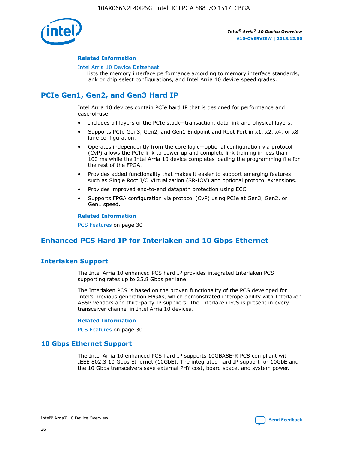

#### **Related Information**

#### [Intel Arria 10 Device Datasheet](https://www.intel.com/content/www/us/en/programmable/documentation/mcn1413182292568.html#mcn1413182153340)

Lists the memory interface performance according to memory interface standards, rank or chip select configurations, and Intel Arria 10 device speed grades.

# **PCIe Gen1, Gen2, and Gen3 Hard IP**

Intel Arria 10 devices contain PCIe hard IP that is designed for performance and ease-of-use:

- Includes all layers of the PCIe stack—transaction, data link and physical layers.
- Supports PCIe Gen3, Gen2, and Gen1 Endpoint and Root Port in x1, x2, x4, or x8 lane configuration.
- Operates independently from the core logic—optional configuration via protocol (CvP) allows the PCIe link to power up and complete link training in less than 100 ms while the Intel Arria 10 device completes loading the programming file for the rest of the FPGA.
- Provides added functionality that makes it easier to support emerging features such as Single Root I/O Virtualization (SR-IOV) and optional protocol extensions.
- Provides improved end-to-end datapath protection using ECC.
- Supports FPGA configuration via protocol (CvP) using PCIe at Gen3, Gen2, or Gen1 speed.

#### **Related Information**

PCS Features on page 30

# **Enhanced PCS Hard IP for Interlaken and 10 Gbps Ethernet**

# **Interlaken Support**

The Intel Arria 10 enhanced PCS hard IP provides integrated Interlaken PCS supporting rates up to 25.8 Gbps per lane.

The Interlaken PCS is based on the proven functionality of the PCS developed for Intel's previous generation FPGAs, which demonstrated interoperability with Interlaken ASSP vendors and third-party IP suppliers. The Interlaken PCS is present in every transceiver channel in Intel Arria 10 devices.

#### **Related Information**

PCS Features on page 30

# **10 Gbps Ethernet Support**

The Intel Arria 10 enhanced PCS hard IP supports 10GBASE-R PCS compliant with IEEE 802.3 10 Gbps Ethernet (10GbE). The integrated hard IP support for 10GbE and the 10 Gbps transceivers save external PHY cost, board space, and system power.

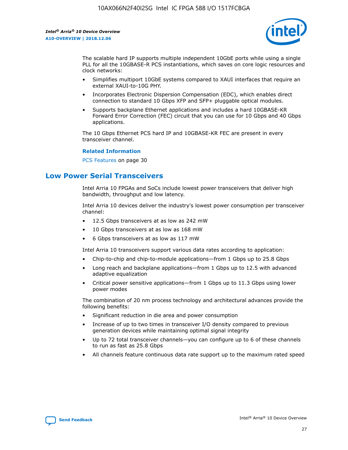

The scalable hard IP supports multiple independent 10GbE ports while using a single PLL for all the 10GBASE-R PCS instantiations, which saves on core logic resources and clock networks:

- Simplifies multiport 10GbE systems compared to XAUI interfaces that require an external XAUI-to-10G PHY.
- Incorporates Electronic Dispersion Compensation (EDC), which enables direct connection to standard 10 Gbps XFP and SFP+ pluggable optical modules.
- Supports backplane Ethernet applications and includes a hard 10GBASE-KR Forward Error Correction (FEC) circuit that you can use for 10 Gbps and 40 Gbps applications.

The 10 Gbps Ethernet PCS hard IP and 10GBASE-KR FEC are present in every transceiver channel.

#### **Related Information**

PCS Features on page 30

# **Low Power Serial Transceivers**

Intel Arria 10 FPGAs and SoCs include lowest power transceivers that deliver high bandwidth, throughput and low latency.

Intel Arria 10 devices deliver the industry's lowest power consumption per transceiver channel:

- 12.5 Gbps transceivers at as low as 242 mW
- 10 Gbps transceivers at as low as 168 mW
- 6 Gbps transceivers at as low as 117 mW

Intel Arria 10 transceivers support various data rates according to application:

- Chip-to-chip and chip-to-module applications—from 1 Gbps up to 25.8 Gbps
- Long reach and backplane applications—from 1 Gbps up to 12.5 with advanced adaptive equalization
- Critical power sensitive applications—from 1 Gbps up to 11.3 Gbps using lower power modes

The combination of 20 nm process technology and architectural advances provide the following benefits:

- Significant reduction in die area and power consumption
- Increase of up to two times in transceiver I/O density compared to previous generation devices while maintaining optimal signal integrity
- Up to 72 total transceiver channels—you can configure up to 6 of these channels to run as fast as 25.8 Gbps
- All channels feature continuous data rate support up to the maximum rated speed

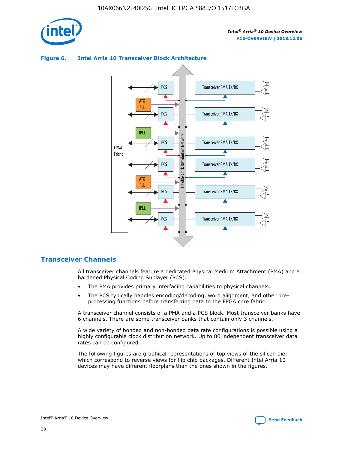



### **Figure 6. Intel Arria 10 Transceiver Block Architecture**

# **Transceiver Channels**

All transceiver channels feature a dedicated Physical Medium Attachment (PMA) and a hardened Physical Coding Sublayer (PCS).

- The PMA provides primary interfacing capabilities to physical channels.
- The PCS typically handles encoding/decoding, word alignment, and other preprocessing functions before transferring data to the FPGA core fabric.

A transceiver channel consists of a PMA and a PCS block. Most transceiver banks have 6 channels. There are some transceiver banks that contain only 3 channels.

A wide variety of bonded and non-bonded data rate configurations is possible using a highly configurable clock distribution network. Up to 80 independent transceiver data rates can be configured.

The following figures are graphical representations of top views of the silicon die, which correspond to reverse views for flip chip packages. Different Intel Arria 10 devices may have different floorplans than the ones shown in the figures.

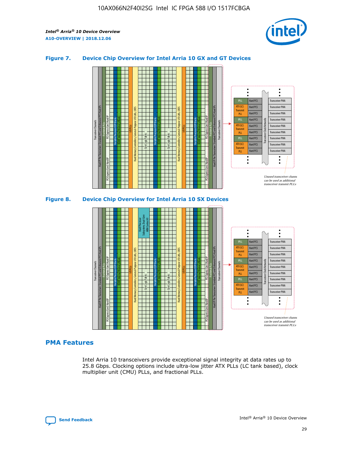

## **Figure 7. Device Chip Overview for Intel Arria 10 GX and GT Devices**



M20K Internal Memory Blocks Core Logic Fabric Transceiver Channels Hard IP Per Transceiver: Standard PCS and Enhanced PCS Hard IPs PCI Express Gen3 Hard IP Fractional PLLs M20K Internal Memory Blocks PCI Express Gen3 Hard IP Variable Precision DSP Blocks I/O PLLs Hard Memory Controllers, General-Purpose I/O Cells, LVDS Hard Processor Subsystem, Dual-Core ARM Cortex A9 M20K Internal Memory Blocks Variable Precision DSP Blocks M20K Internal Memory Blocks Core Logic Fabric I/O PLLs Hard Memory Controllers, General-Purpose I/O Cells, LVDS M20K Internal Memory Blocks Variable Precision DSP Blocks M20K Internal Memory Blocks Transceiver Channels Hard IP Per Transceiver: Standard PCS and Enhanced PCS Hard IPs PCI Express Gen3 Hard IP Fractional PLLs PCI Express Gen3 Hard IP  $\ddot{\cdot}$ Hard PCS Transceiver PMA fPLL ATX (LC) Hard PCS Transceiver PMA **Transmit** Hard PCS Transceiver PMA PLL fPLL Hard PCS Transceiver PMA Transceiver Clock Networks ATX (LC) Hard PCS Transceiver PMA Transmi Hard PCS Transceiver PMA PLL fPLL Hard PCS Transceiver PMA Transceiver PMA Hard PCS ATX (LC) **Transmit** Hard PCS Transceiver PMA PLL Unused transceiver chann can be used as additional transceiver transmit PLLs

# **PMA Features**

Intel Arria 10 transceivers provide exceptional signal integrity at data rates up to 25.8 Gbps. Clocking options include ultra-low jitter ATX PLLs (LC tank based), clock multiplier unit (CMU) PLLs, and fractional PLLs.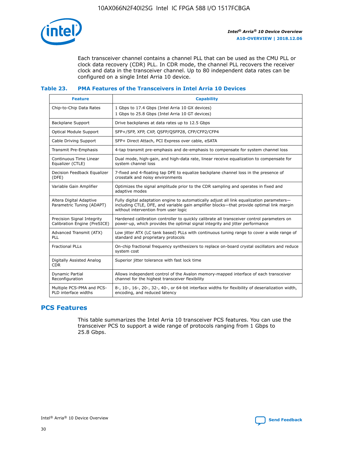

Each transceiver channel contains a channel PLL that can be used as the CMU PLL or clock data recovery (CDR) PLL. In CDR mode, the channel PLL recovers the receiver clock and data in the transceiver channel. Up to 80 independent data rates can be configured on a single Intel Arria 10 device.

### **Table 23. PMA Features of the Transceivers in Intel Arria 10 Devices**

| <b>Feature</b>                                             | <b>Capability</b>                                                                                                                                                                                                             |
|------------------------------------------------------------|-------------------------------------------------------------------------------------------------------------------------------------------------------------------------------------------------------------------------------|
| Chip-to-Chip Data Rates                                    | 1 Gbps to 17.4 Gbps (Intel Arria 10 GX devices)<br>1 Gbps to 25.8 Gbps (Intel Arria 10 GT devices)                                                                                                                            |
| Backplane Support                                          | Drive backplanes at data rates up to 12.5 Gbps                                                                                                                                                                                |
| <b>Optical Module Support</b>                              | SFP+/SFP, XFP, CXP, QSFP/QSFP28, CFP/CFP2/CFP4                                                                                                                                                                                |
| Cable Driving Support                                      | SFP+ Direct Attach, PCI Express over cable, eSATA                                                                                                                                                                             |
| Transmit Pre-Emphasis                                      | 4-tap transmit pre-emphasis and de-emphasis to compensate for system channel loss                                                                                                                                             |
| Continuous Time Linear<br>Equalizer (CTLE)                 | Dual mode, high-gain, and high-data rate, linear receive equalization to compensate for<br>system channel loss                                                                                                                |
| Decision Feedback Equalizer<br>(DFE)                       | 7-fixed and 4-floating tap DFE to equalize backplane channel loss in the presence of<br>crosstalk and noisy environments                                                                                                      |
| Variable Gain Amplifier                                    | Optimizes the signal amplitude prior to the CDR sampling and operates in fixed and<br>adaptive modes                                                                                                                          |
| Altera Digital Adaptive<br>Parametric Tuning (ADAPT)       | Fully digital adaptation engine to automatically adjust all link equalization parameters-<br>including CTLE, DFE, and variable gain amplifier blocks—that provide optimal link margin<br>without intervention from user logic |
| Precision Signal Integrity<br>Calibration Engine (PreSICE) | Hardened calibration controller to quickly calibrate all transceiver control parameters on<br>power-up, which provides the optimal signal integrity and jitter performance                                                    |
| Advanced Transmit (ATX)<br><b>PLL</b>                      | Low jitter ATX (LC tank based) PLLs with continuous tuning range to cover a wide range of<br>standard and proprietary protocols                                                                                               |
| <b>Fractional PLLs</b>                                     | On-chip fractional frequency synthesizers to replace on-board crystal oscillators and reduce<br>system cost                                                                                                                   |
| Digitally Assisted Analog<br><b>CDR</b>                    | Superior jitter tolerance with fast lock time                                                                                                                                                                                 |
| Dynamic Partial<br>Reconfiguration                         | Allows independent control of the Avalon memory-mapped interface of each transceiver<br>channel for the highest transceiver flexibility                                                                                       |
| Multiple PCS-PMA and PCS-<br>PLD interface widths          | 8-, 10-, 16-, 20-, 32-, 40-, or 64-bit interface widths for flexibility of deserialization width,<br>encoding, and reduced latency                                                                                            |

# **PCS Features**

This table summarizes the Intel Arria 10 transceiver PCS features. You can use the transceiver PCS to support a wide range of protocols ranging from 1 Gbps to 25.8 Gbps.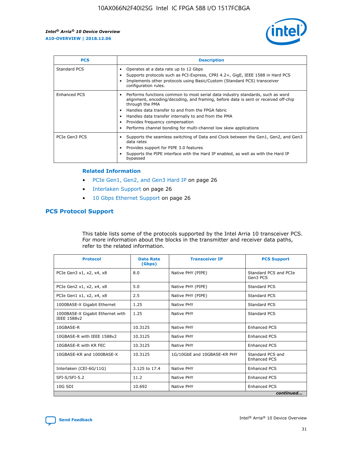

| <b>PCS</b>    | <b>Description</b>                                                                                                                                                                                                                                                                                                                                                                                             |
|---------------|----------------------------------------------------------------------------------------------------------------------------------------------------------------------------------------------------------------------------------------------------------------------------------------------------------------------------------------------------------------------------------------------------------------|
| Standard PCS  | Operates at a data rate up to 12 Gbps<br>Supports protocols such as PCI-Express, CPRI 4.2+, GigE, IEEE 1588 in Hard PCS<br>Implements other protocols using Basic/Custom (Standard PCS) transceiver<br>configuration rules.                                                                                                                                                                                    |
| Enhanced PCS  | Performs functions common to most serial data industry standards, such as word<br>alignment, encoding/decoding, and framing, before data is sent or received off-chip<br>through the PMA<br>• Handles data transfer to and from the FPGA fabric<br>Handles data transfer internally to and from the PMA<br>Provides frequency compensation<br>Performs channel bonding for multi-channel low skew applications |
| PCIe Gen3 PCS | Supports the seamless switching of Data and Clock between the Gen1, Gen2, and Gen3<br>data rates<br>Provides support for PIPE 3.0 features<br>Supports the PIPE interface with the Hard IP enabled, as well as with the Hard IP<br>bypassed                                                                                                                                                                    |

#### **Related Information**

- PCIe Gen1, Gen2, and Gen3 Hard IP on page 26
- Interlaken Support on page 26
- 10 Gbps Ethernet Support on page 26

# **PCS Protocol Support**

This table lists some of the protocols supported by the Intel Arria 10 transceiver PCS. For more information about the blocks in the transmitter and receiver data paths, refer to the related information.

| <b>Protocol</b>                                 | <b>Data Rate</b><br>(Gbps) | <b>Transceiver IP</b>       | <b>PCS Support</b>                      |
|-------------------------------------------------|----------------------------|-----------------------------|-----------------------------------------|
| PCIe Gen3 x1, x2, x4, x8                        | 8.0                        | Native PHY (PIPE)           | Standard PCS and PCIe<br>Gen3 PCS       |
| PCIe Gen2 x1, x2, x4, x8                        | 5.0                        | Native PHY (PIPE)           | <b>Standard PCS</b>                     |
| PCIe Gen1 x1, x2, x4, x8                        | 2.5                        | Native PHY (PIPE)           | Standard PCS                            |
| 1000BASE-X Gigabit Ethernet                     | 1.25                       | Native PHY                  | <b>Standard PCS</b>                     |
| 1000BASE-X Gigabit Ethernet with<br>IEEE 1588v2 | 1.25                       | Native PHY                  | Standard PCS                            |
| 10GBASE-R                                       | 10.3125                    | Native PHY                  | <b>Enhanced PCS</b>                     |
| 10GBASE-R with IEEE 1588v2                      | 10.3125                    | Native PHY                  | <b>Enhanced PCS</b>                     |
| 10GBASE-R with KR FEC                           | 10.3125                    | Native PHY                  | <b>Enhanced PCS</b>                     |
| 10GBASE-KR and 1000BASE-X                       | 10.3125                    | 1G/10GbE and 10GBASE-KR PHY | Standard PCS and<br><b>Enhanced PCS</b> |
| Interlaken (CEI-6G/11G)                         | 3.125 to 17.4              | Native PHY                  | <b>Enhanced PCS</b>                     |
| SFI-S/SFI-5.2                                   | 11.2                       | Native PHY                  | <b>Enhanced PCS</b>                     |
| $10G$ SDI                                       | 10.692                     | Native PHY                  | <b>Enhanced PCS</b>                     |
|                                                 |                            |                             | continued                               |

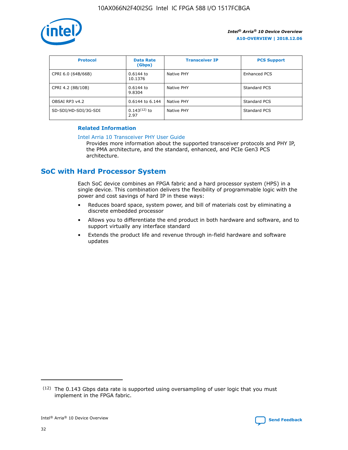

| <b>Protocol</b>      | <b>Data Rate</b><br>(Gbps) | <b>Transceiver IP</b> | <b>PCS Support</b> |
|----------------------|----------------------------|-----------------------|--------------------|
| CPRI 6.0 (64B/66B)   | 0.6144 to<br>10.1376       | Native PHY            | Enhanced PCS       |
| CPRI 4.2 (8B/10B)    | $0.6144$ to<br>9.8304      | Native PHY            | Standard PCS       |
| OBSAI RP3 v4.2       | 0.6144 to 6.144            | Native PHY            | Standard PCS       |
| SD-SDI/HD-SDI/3G-SDI | $0.143(12)$ to<br>2.97     | Native PHY            | Standard PCS       |

## **Related Information**

#### [Intel Arria 10 Transceiver PHY User Guide](https://www.intel.com/content/www/us/en/programmable/documentation/nik1398707230472.html#nik1398707091164)

Provides more information about the supported transceiver protocols and PHY IP, the PMA architecture, and the standard, enhanced, and PCIe Gen3 PCS architecture.

# **SoC with Hard Processor System**

Each SoC device combines an FPGA fabric and a hard processor system (HPS) in a single device. This combination delivers the flexibility of programmable logic with the power and cost savings of hard IP in these ways:

- Reduces board space, system power, and bill of materials cost by eliminating a discrete embedded processor
- Allows you to differentiate the end product in both hardware and software, and to support virtually any interface standard
- Extends the product life and revenue through in-field hardware and software updates

 $(12)$  The 0.143 Gbps data rate is supported using oversampling of user logic that you must implement in the FPGA fabric.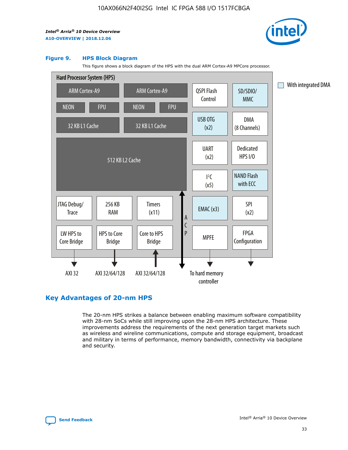

#### **Figure 9. HPS Block Diagram**

This figure shows a block diagram of the HPS with the dual ARM Cortex-A9 MPCore processor.



# **Key Advantages of 20-nm HPS**

The 20-nm HPS strikes a balance between enabling maximum software compatibility with 28-nm SoCs while still improving upon the 28-nm HPS architecture. These improvements address the requirements of the next generation target markets such as wireless and wireline communications, compute and storage equipment, broadcast and military in terms of performance, memory bandwidth, connectivity via backplane and security.

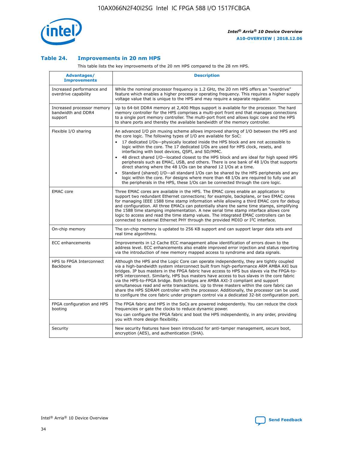

## **Table 24. Improvements in 20 nm HPS**

This table lists the key improvements of the 20 nm HPS compared to the 28 nm HPS.

| Advantages/<br><b>Improvements</b>                          | <b>Description</b>                                                                                                                                                                                                                                                                                                                                                                                                                                                                                                                                                                                                                                                                                                                                                                                                                                                                                                      |
|-------------------------------------------------------------|-------------------------------------------------------------------------------------------------------------------------------------------------------------------------------------------------------------------------------------------------------------------------------------------------------------------------------------------------------------------------------------------------------------------------------------------------------------------------------------------------------------------------------------------------------------------------------------------------------------------------------------------------------------------------------------------------------------------------------------------------------------------------------------------------------------------------------------------------------------------------------------------------------------------------|
| Increased performance and<br>overdrive capability           | While the nominal processor frequency is 1.2 GHz, the 20 nm HPS offers an "overdrive"<br>feature which enables a higher processor operating frequency. This requires a higher supply<br>voltage value that is unique to the HPS and may require a separate regulator.                                                                                                                                                                                                                                                                                                                                                                                                                                                                                                                                                                                                                                                   |
| Increased processor memory<br>bandwidth and DDR4<br>support | Up to 64-bit DDR4 memory at 2,400 Mbps support is available for the processor. The hard<br>memory controller for the HPS comprises a multi-port front end that manages connections<br>to a single port memory controller. The multi-port front end allows logic core and the HPS<br>to share ports and thereby the available bandwidth of the memory controller.                                                                                                                                                                                                                                                                                                                                                                                                                                                                                                                                                        |
| Flexible I/O sharing                                        | An advanced I/O pin muxing scheme allows improved sharing of I/O between the HPS and<br>the core logic. The following types of I/O are available for SoC:<br>17 dedicated I/Os-physically located inside the HPS block and are not accessible to<br>logic within the core. The 17 dedicated I/Os are used for HPS clock, resets, and<br>interfacing with boot devices, QSPI, and SD/MMC.<br>48 direct shared I/O-located closest to the HPS block and are ideal for high speed HPS<br>peripherals such as EMAC, USB, and others. There is one bank of 48 I/Os that supports<br>direct sharing where the 48 I/Os can be shared 12 I/Os at a time.<br>Standard (shared) I/O-all standard I/Os can be shared by the HPS peripherals and any<br>logic within the core. For designs where more than 48 I/Os are reguired to fully use all<br>the peripherals in the HPS, these I/Os can be connected through the core logic. |
| <b>EMAC</b> core                                            | Three EMAC cores are available in the HPS. The EMAC cores enable an application to<br>support two redundant Ethernet connections; for example, backplane, or two EMAC cores<br>for managing IEEE 1588 time stamp information while allowing a third EMAC core for debug<br>and configuration. All three EMACs can potentially share the same time stamps, simplifying<br>the 1588 time stamping implementation. A new serial time stamp interface allows core<br>logic to access and read the time stamp values. The integrated EMAC controllers can be<br>connected to external Ethernet PHY through the provided MDIO or I <sup>2</sup> C interface.                                                                                                                                                                                                                                                                  |
| On-chip memory                                              | The on-chip memory is updated to 256 KB support and can support larger data sets and<br>real time algorithms.                                                                                                                                                                                                                                                                                                                                                                                                                                                                                                                                                                                                                                                                                                                                                                                                           |
| <b>ECC</b> enhancements                                     | Improvements in L2 Cache ECC management allow identification of errors down to the<br>address level. ECC enhancements also enable improved error injection and status reporting<br>via the introduction of new memory mapped access to syndrome and data signals.                                                                                                                                                                                                                                                                                                                                                                                                                                                                                                                                                                                                                                                       |
| HPS to FPGA Interconnect<br>Backbone                        | Although the HPS and the Logic Core can operate independently, they are tightly coupled<br>via a high-bandwidth system interconnect built from high-performance ARM AMBA AXI bus<br>bridges. IP bus masters in the FPGA fabric have access to HPS bus slaves via the FPGA-to-<br>HPS interconnect. Similarly, HPS bus masters have access to bus slaves in the core fabric<br>via the HPS-to-FPGA bridge. Both bridges are AMBA AXI-3 compliant and support<br>simultaneous read and write transactions. Up to three masters within the core fabric can<br>share the HPS SDRAM controller with the processor. Additionally, the processor can be used<br>to configure the core fabric under program control via a dedicated 32-bit configuration port.                                                                                                                                                                  |
| FPGA configuration and HPS<br>booting                       | The FPGA fabric and HPS in the SoCs are powered independently. You can reduce the clock<br>frequencies or gate the clocks to reduce dynamic power.<br>You can configure the FPGA fabric and boot the HPS independently, in any order, providing<br>you with more design flexibility.                                                                                                                                                                                                                                                                                                                                                                                                                                                                                                                                                                                                                                    |
| Security                                                    | New security features have been introduced for anti-tamper management, secure boot,<br>encryption (AES), and authentication (SHA).                                                                                                                                                                                                                                                                                                                                                                                                                                                                                                                                                                                                                                                                                                                                                                                      |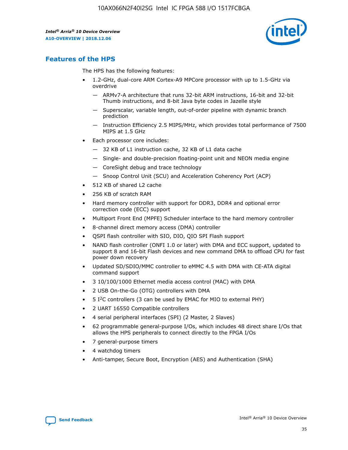

# **Features of the HPS**

The HPS has the following features:

- 1.2-GHz, dual-core ARM Cortex-A9 MPCore processor with up to 1.5-GHz via overdrive
	- ARMv7-A architecture that runs 32-bit ARM instructions, 16-bit and 32-bit Thumb instructions, and 8-bit Java byte codes in Jazelle style
	- Superscalar, variable length, out-of-order pipeline with dynamic branch prediction
	- Instruction Efficiency 2.5 MIPS/MHz, which provides total performance of 7500 MIPS at 1.5 GHz
- Each processor core includes:
	- 32 KB of L1 instruction cache, 32 KB of L1 data cache
	- Single- and double-precision floating-point unit and NEON media engine
	- CoreSight debug and trace technology
	- Snoop Control Unit (SCU) and Acceleration Coherency Port (ACP)
- 512 KB of shared L2 cache
- 256 KB of scratch RAM
- Hard memory controller with support for DDR3, DDR4 and optional error correction code (ECC) support
- Multiport Front End (MPFE) Scheduler interface to the hard memory controller
- 8-channel direct memory access (DMA) controller
- QSPI flash controller with SIO, DIO, QIO SPI Flash support
- NAND flash controller (ONFI 1.0 or later) with DMA and ECC support, updated to support 8 and 16-bit Flash devices and new command DMA to offload CPU for fast power down recovery
- Updated SD/SDIO/MMC controller to eMMC 4.5 with DMA with CE-ATA digital command support
- 3 10/100/1000 Ethernet media access control (MAC) with DMA
- 2 USB On-the-Go (OTG) controllers with DMA
- $\bullet$  5 I<sup>2</sup>C controllers (3 can be used by EMAC for MIO to external PHY)
- 2 UART 16550 Compatible controllers
- 4 serial peripheral interfaces (SPI) (2 Master, 2 Slaves)
- 62 programmable general-purpose I/Os, which includes 48 direct share I/Os that allows the HPS peripherals to connect directly to the FPGA I/Os
- 7 general-purpose timers
- 4 watchdog timers
- Anti-tamper, Secure Boot, Encryption (AES) and Authentication (SHA)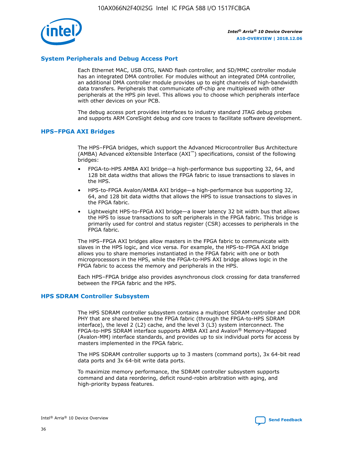

# **System Peripherals and Debug Access Port**

Each Ethernet MAC, USB OTG, NAND flash controller, and SD/MMC controller module has an integrated DMA controller. For modules without an integrated DMA controller, an additional DMA controller module provides up to eight channels of high-bandwidth data transfers. Peripherals that communicate off-chip are multiplexed with other peripherals at the HPS pin level. This allows you to choose which peripherals interface with other devices on your PCB.

The debug access port provides interfaces to industry standard JTAG debug probes and supports ARM CoreSight debug and core traces to facilitate software development.

## **HPS–FPGA AXI Bridges**

The HPS–FPGA bridges, which support the Advanced Microcontroller Bus Architecture (AMBA) Advanced eXtensible Interface (AXI™) specifications, consist of the following bridges:

- FPGA-to-HPS AMBA AXI bridge—a high-performance bus supporting 32, 64, and 128 bit data widths that allows the FPGA fabric to issue transactions to slaves in the HPS.
- HPS-to-FPGA Avalon/AMBA AXI bridge—a high-performance bus supporting 32, 64, and 128 bit data widths that allows the HPS to issue transactions to slaves in the FPGA fabric.
- Lightweight HPS-to-FPGA AXI bridge—a lower latency 32 bit width bus that allows the HPS to issue transactions to soft peripherals in the FPGA fabric. This bridge is primarily used for control and status register (CSR) accesses to peripherals in the FPGA fabric.

The HPS–FPGA AXI bridges allow masters in the FPGA fabric to communicate with slaves in the HPS logic, and vice versa. For example, the HPS-to-FPGA AXI bridge allows you to share memories instantiated in the FPGA fabric with one or both microprocessors in the HPS, while the FPGA-to-HPS AXI bridge allows logic in the FPGA fabric to access the memory and peripherals in the HPS.

Each HPS–FPGA bridge also provides asynchronous clock crossing for data transferred between the FPGA fabric and the HPS.

#### **HPS SDRAM Controller Subsystem**

The HPS SDRAM controller subsystem contains a multiport SDRAM controller and DDR PHY that are shared between the FPGA fabric (through the FPGA-to-HPS SDRAM interface), the level 2 (L2) cache, and the level 3 (L3) system interconnect. The FPGA-to-HPS SDRAM interface supports AMBA AXI and Avalon® Memory-Mapped (Avalon-MM) interface standards, and provides up to six individual ports for access by masters implemented in the FPGA fabric.

The HPS SDRAM controller supports up to 3 masters (command ports), 3x 64-bit read data ports and 3x 64-bit write data ports.

To maximize memory performance, the SDRAM controller subsystem supports command and data reordering, deficit round-robin arbitration with aging, and high-priority bypass features.

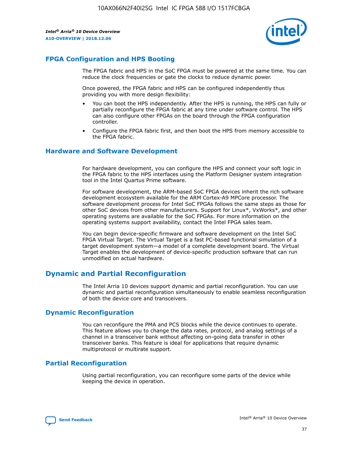

# **FPGA Configuration and HPS Booting**

The FPGA fabric and HPS in the SoC FPGA must be powered at the same time. You can reduce the clock frequencies or gate the clocks to reduce dynamic power.

Once powered, the FPGA fabric and HPS can be configured independently thus providing you with more design flexibility:

- You can boot the HPS independently. After the HPS is running, the HPS can fully or partially reconfigure the FPGA fabric at any time under software control. The HPS can also configure other FPGAs on the board through the FPGA configuration controller.
- Configure the FPGA fabric first, and then boot the HPS from memory accessible to the FPGA fabric.

## **Hardware and Software Development**

For hardware development, you can configure the HPS and connect your soft logic in the FPGA fabric to the HPS interfaces using the Platform Designer system integration tool in the Intel Quartus Prime software.

For software development, the ARM-based SoC FPGA devices inherit the rich software development ecosystem available for the ARM Cortex-A9 MPCore processor. The software development process for Intel SoC FPGAs follows the same steps as those for other SoC devices from other manufacturers. Support for Linux\*, VxWorks\*, and other operating systems are available for the SoC FPGAs. For more information on the operating systems support availability, contact the Intel FPGA sales team.

You can begin device-specific firmware and software development on the Intel SoC FPGA Virtual Target. The Virtual Target is a fast PC-based functional simulation of a target development system—a model of a complete development board. The Virtual Target enables the development of device-specific production software that can run unmodified on actual hardware.

# **Dynamic and Partial Reconfiguration**

The Intel Arria 10 devices support dynamic and partial reconfiguration. You can use dynamic and partial reconfiguration simultaneously to enable seamless reconfiguration of both the device core and transceivers.

# **Dynamic Reconfiguration**

You can reconfigure the PMA and PCS blocks while the device continues to operate. This feature allows you to change the data rates, protocol, and analog settings of a channel in a transceiver bank without affecting on-going data transfer in other transceiver banks. This feature is ideal for applications that require dynamic multiprotocol or multirate support.

# **Partial Reconfiguration**

Using partial reconfiguration, you can reconfigure some parts of the device while keeping the device in operation.

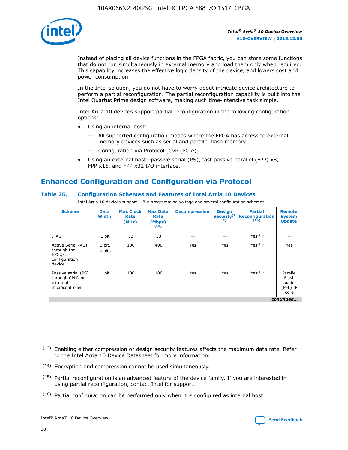

Instead of placing all device functions in the FPGA fabric, you can store some functions that do not run simultaneously in external memory and load them only when required. This capability increases the effective logic density of the device, and lowers cost and power consumption.

In the Intel solution, you do not have to worry about intricate device architecture to perform a partial reconfiguration. The partial reconfiguration capability is built into the Intel Quartus Prime design software, making such time-intensive task simple.

Intel Arria 10 devices support partial reconfiguration in the following configuration options:

- Using an internal host:
	- All supported configuration modes where the FPGA has access to external memory devices such as serial and parallel flash memory.
	- Configuration via Protocol [CvP (PCIe)]
- Using an external host—passive serial (PS), fast passive parallel (FPP) x8, FPP x16, and FPP x32 I/O interface.

# **Enhanced Configuration and Configuration via Protocol**

# **Table 25. Configuration Schemes and Features of Intel Arria 10 Devices**

Intel Arria 10 devices support 1.8 V programming voltage and several configuration schemes.

| <b>Scheme</b>                                                          | <b>Data</b><br><b>Width</b> | <b>Max Clock</b><br>Rate<br>(MHz) | <b>Max Data</b><br>Rate<br>(Mbps)<br>(13) | <b>Decompression</b> | <b>Design</b><br>Security <sup>(1</sup><br>4) | <b>Partial</b><br><b>Reconfiguration</b><br>(15) | <b>Remote</b><br><b>System</b><br><b>Update</b> |
|------------------------------------------------------------------------|-----------------------------|-----------------------------------|-------------------------------------------|----------------------|-----------------------------------------------|--------------------------------------------------|-------------------------------------------------|
| <b>JTAG</b>                                                            | 1 bit                       | 33                                | 33                                        |                      |                                               | Yes(16)                                          |                                                 |
| Active Serial (AS)<br>through the<br>EPCO-L<br>configuration<br>device | 1 bit,<br>4 bits            | 100                               | 400                                       | Yes                  | Yes                                           | $Y_{PS}(16)$                                     | Yes                                             |
| Passive serial (PS)<br>through CPLD or<br>external<br>microcontroller  | 1 bit                       | 100                               | 100                                       | Yes                  | Yes                                           | Yes(16)                                          | Parallel<br>Flash<br>Loader<br>(PFL) IP<br>core |
|                                                                        |                             |                                   |                                           |                      |                                               |                                                  | continued                                       |

<sup>(13)</sup> Enabling either compression or design security features affects the maximum data rate. Refer to the Intel Arria 10 Device Datasheet for more information.

<sup>(14)</sup> Encryption and compression cannot be used simultaneously.

 $(15)$  Partial reconfiguration is an advanced feature of the device family. If you are interested in using partial reconfiguration, contact Intel for support.

 $(16)$  Partial configuration can be performed only when it is configured as internal host.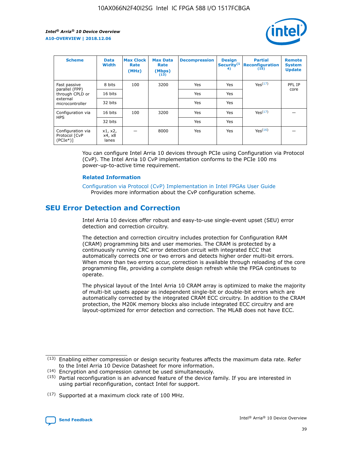

| <b>Scheme</b>                                   | <b>Data</b><br><b>Width</b> | <b>Max Clock</b><br>Rate<br>(MHz) | <b>Max Data</b><br>Rate<br>(Mbps)<br>(13) | <b>Decompression</b> | <b>Design</b><br>Security <sup>(1</sup><br>4) | <b>Partial</b><br><b>Reconfiguration</b><br>(15) | <b>Remote</b><br><b>System</b><br><b>Update</b> |
|-------------------------------------------------|-----------------------------|-----------------------------------|-------------------------------------------|----------------------|-----------------------------------------------|--------------------------------------------------|-------------------------------------------------|
| Fast passive                                    | 8 bits                      | 100                               | 3200                                      | <b>Yes</b>           | Yes                                           | Yes(17)                                          | PFL IP                                          |
| parallel (FPP)<br>through CPLD or               | 16 bits                     |                                   |                                           | Yes                  | Yes                                           |                                                  | core                                            |
| external<br>microcontroller                     | 32 bits                     |                                   |                                           | Yes                  | Yes                                           |                                                  |                                                 |
| Configuration via                               | 16 bits                     | 100                               | 3200                                      | Yes                  | Yes                                           | Yes <sup>(17)</sup>                              |                                                 |
| <b>HPS</b>                                      | 32 bits                     |                                   |                                           | Yes                  | Yes                                           |                                                  |                                                 |
| Configuration via<br>Protocol [CvP<br>$(PCIe*)$ | x1, x2,<br>x4, x8<br>lanes  |                                   | 8000                                      | Yes                  | Yes                                           | Yes <sup>(16)</sup>                              |                                                 |

You can configure Intel Arria 10 devices through PCIe using Configuration via Protocol (CvP). The Intel Arria 10 CvP implementation conforms to the PCIe 100 ms power-up-to-active time requirement.

#### **Related Information**

[Configuration via Protocol \(CvP\) Implementation in Intel FPGAs User Guide](https://www.intel.com/content/www/us/en/programmable/documentation/dsu1441819344145.html#dsu1442269728522) Provides more information about the CvP configuration scheme.

# **SEU Error Detection and Correction**

Intel Arria 10 devices offer robust and easy-to-use single-event upset (SEU) error detection and correction circuitry.

The detection and correction circuitry includes protection for Configuration RAM (CRAM) programming bits and user memories. The CRAM is protected by a continuously running CRC error detection circuit with integrated ECC that automatically corrects one or two errors and detects higher order multi-bit errors. When more than two errors occur, correction is available through reloading of the core programming file, providing a complete design refresh while the FPGA continues to operate.

The physical layout of the Intel Arria 10 CRAM array is optimized to make the majority of multi-bit upsets appear as independent single-bit or double-bit errors which are automatically corrected by the integrated CRAM ECC circuitry. In addition to the CRAM protection, the M20K memory blocks also include integrated ECC circuitry and are layout-optimized for error detection and correction. The MLAB does not have ECC.

(14) Encryption and compression cannot be used simultaneously.

<sup>(17)</sup> Supported at a maximum clock rate of 100 MHz.



 $(13)$  Enabling either compression or design security features affects the maximum data rate. Refer to the Intel Arria 10 Device Datasheet for more information.

 $(15)$  Partial reconfiguration is an advanced feature of the device family. If you are interested in using partial reconfiguration, contact Intel for support.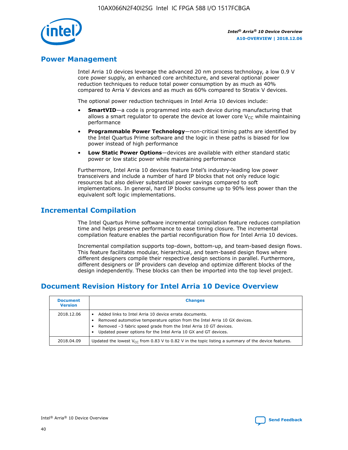

# **Power Management**

Intel Arria 10 devices leverage the advanced 20 nm process technology, a low 0.9 V core power supply, an enhanced core architecture, and several optional power reduction techniques to reduce total power consumption by as much as 40% compared to Arria V devices and as much as 60% compared to Stratix V devices.

The optional power reduction techniques in Intel Arria 10 devices include:

- **SmartVID**—a code is programmed into each device during manufacturing that allows a smart regulator to operate the device at lower core  $V_{CC}$  while maintaining performance
- **Programmable Power Technology**—non-critical timing paths are identified by the Intel Quartus Prime software and the logic in these paths is biased for low power instead of high performance
- **Low Static Power Options**—devices are available with either standard static power or low static power while maintaining performance

Furthermore, Intel Arria 10 devices feature Intel's industry-leading low power transceivers and include a number of hard IP blocks that not only reduce logic resources but also deliver substantial power savings compared to soft implementations. In general, hard IP blocks consume up to 90% less power than the equivalent soft logic implementations.

# **Incremental Compilation**

The Intel Quartus Prime software incremental compilation feature reduces compilation time and helps preserve performance to ease timing closure. The incremental compilation feature enables the partial reconfiguration flow for Intel Arria 10 devices.

Incremental compilation supports top-down, bottom-up, and team-based design flows. This feature facilitates modular, hierarchical, and team-based design flows where different designers compile their respective design sections in parallel. Furthermore, different designers or IP providers can develop and optimize different blocks of the design independently. These blocks can then be imported into the top level project.

# **Document Revision History for Intel Arria 10 Device Overview**

| <b>Document</b><br><b>Version</b> | <b>Changes</b>                                                                                                                                                                                                                                                              |
|-----------------------------------|-----------------------------------------------------------------------------------------------------------------------------------------------------------------------------------------------------------------------------------------------------------------------------|
| 2018.12.06                        | Added links to Intel Arria 10 device errata documents.<br>Removed automotive temperature option from the Intel Arria 10 GX devices.<br>Removed -3 fabric speed grade from the Intel Arria 10 GT devices.<br>Updated power options for the Intel Arria 10 GX and GT devices. |
| 2018.04.09                        | Updated the lowest $V_{CC}$ from 0.83 V to 0.82 V in the topic listing a summary of the device features.                                                                                                                                                                    |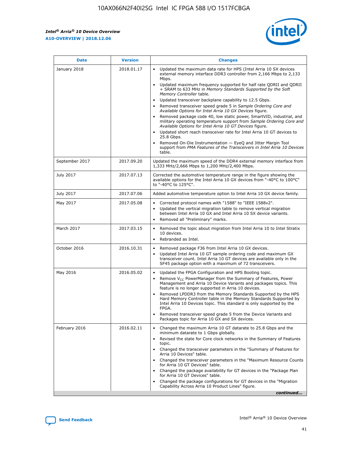*Intel® Arria® 10 Device Overview* **A10-OVERVIEW | 2018.12.06**



| <b>Date</b>    | <b>Version</b> | <b>Changes</b>                                                                                                                                                                                                                                                                                                                                                                                                                                                                                                                                                                                                                                                                                                                                                                                                                                                                                                                                                            |
|----------------|----------------|---------------------------------------------------------------------------------------------------------------------------------------------------------------------------------------------------------------------------------------------------------------------------------------------------------------------------------------------------------------------------------------------------------------------------------------------------------------------------------------------------------------------------------------------------------------------------------------------------------------------------------------------------------------------------------------------------------------------------------------------------------------------------------------------------------------------------------------------------------------------------------------------------------------------------------------------------------------------------|
| January 2018   | 2018.01.17     | Updated the maximum data rate for HPS (Intel Arria 10 SX devices<br>external memory interface DDR3 controller from 2,166 Mbps to 2,133<br>Mbps.<br>Updated maximum frequency supported for half rate QDRII and QDRII<br>+ SRAM to 633 MHz in Memory Standards Supported by the Soft<br>Memory Controller table.<br>Updated transceiver backplane capability to 12.5 Gbps.<br>$\bullet$<br>Removed transceiver speed grade 5 in Sample Ordering Core and<br>Available Options for Intel Arria 10 GX Devices figure.<br>Removed package code 40, low static power, SmartVID, industrial, and<br>military operating temperature support from Sample Ordering Core and<br>Available Options for Intel Arria 10 GT Devices figure.<br>Updated short reach transceiver rate for Intel Arria 10 GT devices to<br>25.8 Gbps.<br>Removed On-Die Instrumentation - EyeQ and Jitter Margin Tool<br>support from PMA Features of the Transceivers in Intel Arria 10 Devices<br>table. |
| September 2017 | 2017.09.20     | Updated the maximum speed of the DDR4 external memory interface from<br>1,333 MHz/2,666 Mbps to 1,200 MHz/2,400 Mbps.                                                                                                                                                                                                                                                                                                                                                                                                                                                                                                                                                                                                                                                                                                                                                                                                                                                     |
| July 2017      | 2017.07.13     | Corrected the automotive temperature range in the figure showing the<br>available options for the Intel Arria 10 GX devices from "-40°C to 100°C"<br>to "-40°C to 125°C".                                                                                                                                                                                                                                                                                                                                                                                                                                                                                                                                                                                                                                                                                                                                                                                                 |
| July 2017      | 2017.07.06     | Added automotive temperature option to Intel Arria 10 GX device family.                                                                                                                                                                                                                                                                                                                                                                                                                                                                                                                                                                                                                                                                                                                                                                                                                                                                                                   |
| May 2017       | 2017.05.08     | Corrected protocol names with "1588" to "IEEE 1588v2".<br>$\bullet$<br>Updated the vertical migration table to remove vertical migration<br>$\bullet$<br>between Intel Arria 10 GX and Intel Arria 10 SX device variants.<br>Removed all "Preliminary" marks.<br>$\bullet$                                                                                                                                                                                                                                                                                                                                                                                                                                                                                                                                                                                                                                                                                                |
| March 2017     | 2017.03.15     | Removed the topic about migration from Intel Arria 10 to Intel Stratix<br>10 devices.<br>Rebranded as Intel.<br>$\bullet$                                                                                                                                                                                                                                                                                                                                                                                                                                                                                                                                                                                                                                                                                                                                                                                                                                                 |
| October 2016   | 2016.10.31     | Removed package F36 from Intel Arria 10 GX devices.<br>Updated Intel Arria 10 GT sample ordering code and maximum GX<br>$\bullet$<br>transceiver count. Intel Arria 10 GT devices are available only in the<br>SF45 package option with a maximum of 72 transceivers.                                                                                                                                                                                                                                                                                                                                                                                                                                                                                                                                                                                                                                                                                                     |
| May 2016       | 2016.05.02     | Updated the FPGA Configuration and HPS Booting topic.<br>$\bullet$<br>Remove V <sub>CC</sub> PowerManager from the Summary of Features, Power<br>Management and Arria 10 Device Variants and packages topics. This<br>feature is no longer supported in Arria 10 devices.<br>Removed LPDDR3 from the Memory Standards Supported by the HPS<br>Hard Memory Controller table in the Memory Standards Supported by<br>Intel Arria 10 Devices topic. This standard is only supported by the<br>FPGA.<br>Removed transceiver speed grade 5 from the Device Variants and<br>Packages topic for Arria 10 GX and SX devices.                                                                                                                                                                                                                                                                                                                                                      |
| February 2016  | 2016.02.11     | Changed the maximum Arria 10 GT datarate to 25.8 Gbps and the<br>minimum datarate to 1 Gbps globally.<br>Revised the state for Core clock networks in the Summary of Features<br>$\bullet$<br>topic.<br>Changed the transceiver parameters in the "Summary of Features for<br>$\bullet$<br>Arria 10 Devices" table.<br>• Changed the transceiver parameters in the "Maximum Resource Counts<br>for Arria 10 GT Devices" table.<br>Changed the package availability for GT devices in the "Package Plan<br>for Arria 10 GT Devices" table.<br>Changed the package configurations for GT devices in the "Migration"<br>Capability Across Arria 10 Product Lines" figure.<br>continued                                                                                                                                                                                                                                                                                       |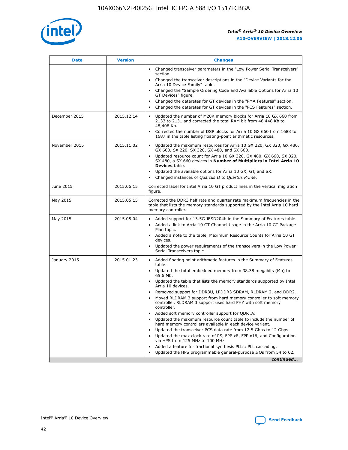

| <b>Date</b>   | <b>Version</b> | <b>Changes</b>                                                                                                                                                               |
|---------------|----------------|------------------------------------------------------------------------------------------------------------------------------------------------------------------------------|
|               |                | • Changed transceiver parameters in the "Low Power Serial Transceivers"<br>section.                                                                                          |
|               |                | • Changed the transceiver descriptions in the "Device Variants for the<br>Arria 10 Device Family" table.                                                                     |
|               |                | Changed the "Sample Ordering Code and Available Options for Arria 10<br>$\bullet$<br>GT Devices" figure.                                                                     |
|               |                | Changed the datarates for GT devices in the "PMA Features" section.                                                                                                          |
|               |                | Changed the datarates for GT devices in the "PCS Features" section.<br>$\bullet$                                                                                             |
| December 2015 | 2015.12.14     | Updated the number of M20K memory blocks for Arria 10 GX 660 from<br>2133 to 2131 and corrected the total RAM bit from 48,448 Kb to<br>48,408 Kb.                            |
|               |                | Corrected the number of DSP blocks for Arria 10 GX 660 from 1688 to<br>1687 in the table listing floating-point arithmetic resources.                                        |
| November 2015 | 2015.11.02     | Updated the maximum resources for Arria 10 GX 220, GX 320, GX 480,<br>$\bullet$<br>GX 660, SX 220, SX 320, SX 480, and SX 660.                                               |
|               |                | • Updated resource count for Arria 10 GX 320, GX 480, GX 660, SX 320,<br>SX 480, a SX 660 devices in Number of Multipliers in Intel Arria 10<br><b>Devices</b> table.        |
|               |                | Updated the available options for Arria 10 GX, GT, and SX.                                                                                                                   |
|               |                | Changed instances of Quartus II to Quartus Prime.<br>$\bullet$                                                                                                               |
| June 2015     | 2015.06.15     | Corrected label for Intel Arria 10 GT product lines in the vertical migration<br>figure.                                                                                     |
| May 2015      | 2015.05.15     | Corrected the DDR3 half rate and quarter rate maximum frequencies in the<br>table that lists the memory standards supported by the Intel Arria 10 hard<br>memory controller. |
| May 2015      | 2015.05.04     | • Added support for 13.5G JESD204b in the Summary of Features table.                                                                                                         |
|               |                | • Added a link to Arria 10 GT Channel Usage in the Arria 10 GT Package<br>Plan topic.                                                                                        |
|               |                | • Added a note to the table, Maximum Resource Counts for Arria 10 GT<br>devices.                                                                                             |
|               |                | • Updated the power requirements of the transceivers in the Low Power<br>Serial Transceivers topic.                                                                          |
| January 2015  | 2015.01.23     | • Added floating point arithmetic features in the Summary of Features<br>table.                                                                                              |
|               |                | • Updated the total embedded memory from 38.38 megabits (Mb) to<br>65.6 Mb.                                                                                                  |
|               |                | • Updated the table that lists the memory standards supported by Intel<br>Arria 10 devices.                                                                                  |
|               |                | Removed support for DDR3U, LPDDR3 SDRAM, RLDRAM 2, and DDR2.                                                                                                                 |
|               |                | Moved RLDRAM 3 support from hard memory controller to soft memory<br>controller. RLDRAM 3 support uses hard PHY with soft memory<br>controller.                              |
|               |                | Added soft memory controller support for QDR IV.<br>٠                                                                                                                        |
|               |                | Updated the maximum resource count table to include the number of<br>hard memory controllers available in each device variant.                                               |
|               |                | Updated the transceiver PCS data rate from 12.5 Gbps to 12 Gbps.<br>$\bullet$                                                                                                |
|               |                | Updated the max clock rate of PS, FPP x8, FPP x16, and Configuration<br>via HPS from 125 MHz to 100 MHz.                                                                     |
|               |                | Added a feature for fractional synthesis PLLs: PLL cascading.                                                                                                                |
|               |                | Updated the HPS programmable general-purpose I/Os from 54 to 62.<br>$\bullet$                                                                                                |
|               |                | continued                                                                                                                                                                    |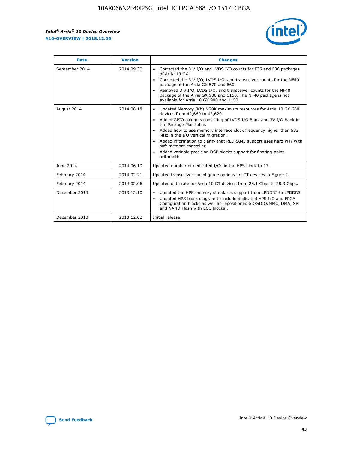r



| <b>Date</b>    | <b>Version</b> | <b>Changes</b>                                                                                                                                                                                                                                                                                                                                                                                                                                                                                                                                      |
|----------------|----------------|-----------------------------------------------------------------------------------------------------------------------------------------------------------------------------------------------------------------------------------------------------------------------------------------------------------------------------------------------------------------------------------------------------------------------------------------------------------------------------------------------------------------------------------------------------|
| September 2014 | 2014.09.30     | Corrected the 3 V I/O and LVDS I/O counts for F35 and F36 packages<br>$\bullet$<br>of Arria 10 GX.<br>Corrected the 3 V I/O, LVDS I/O, and transceiver counts for the NF40<br>$\bullet$<br>package of the Arria GX 570 and 660.<br>Removed 3 V I/O, LVDS I/O, and transceiver counts for the NF40<br>package of the Arria GX 900 and 1150. The NF40 package is not<br>available for Arria 10 GX 900 and 1150.                                                                                                                                       |
| August 2014    | 2014.08.18     | Updated Memory (Kb) M20K maximum resources for Arria 10 GX 660<br>devices from 42,660 to 42,620.<br>Added GPIO columns consisting of LVDS I/O Bank and 3V I/O Bank in<br>$\bullet$<br>the Package Plan table.<br>Added how to use memory interface clock frequency higher than 533<br>$\bullet$<br>MHz in the I/O vertical migration.<br>Added information to clarify that RLDRAM3 support uses hard PHY with<br>$\bullet$<br>soft memory controller.<br>Added variable precision DSP blocks support for floating-point<br>$\bullet$<br>arithmetic. |
| June 2014      | 2014.06.19     | Updated number of dedicated I/Os in the HPS block to 17.                                                                                                                                                                                                                                                                                                                                                                                                                                                                                            |
| February 2014  | 2014.02.21     | Updated transceiver speed grade options for GT devices in Figure 2.                                                                                                                                                                                                                                                                                                                                                                                                                                                                                 |
| February 2014  | 2014.02.06     | Updated data rate for Arria 10 GT devices from 28.1 Gbps to 28.3 Gbps.                                                                                                                                                                                                                                                                                                                                                                                                                                                                              |
| December 2013  | 2013.12.10     | Updated the HPS memory standards support from LPDDR2 to LPDDR3.<br>Updated HPS block diagram to include dedicated HPS I/O and FPGA<br>$\bullet$<br>Configuration blocks as well as repositioned SD/SDIO/MMC, DMA, SPI<br>and NAND Flash with ECC blocks.                                                                                                                                                                                                                                                                                            |
| December 2013  | 2013.12.02     | Initial release.                                                                                                                                                                                                                                                                                                                                                                                                                                                                                                                                    |